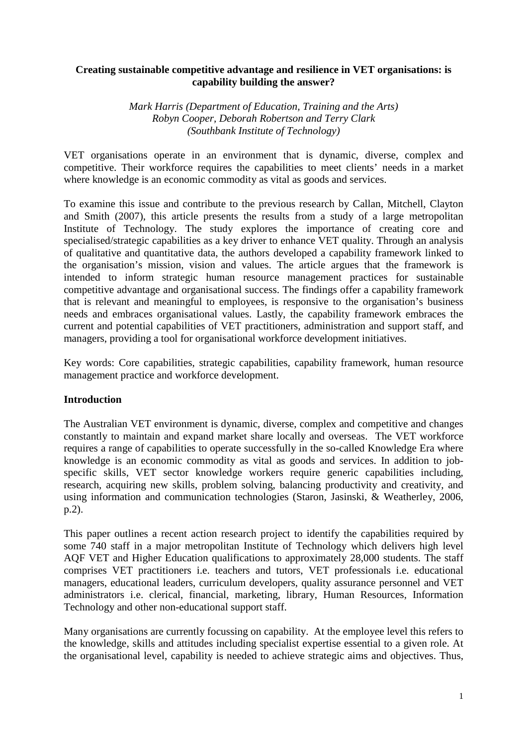### **Creating sustainable competitive advantage and resilience in VET organisations: is capability building the answer?**

*Mark Harris (Department of Education, Training and the Arts) Robyn Cooper, Deborah Robertson and Terry Clark (Southbank Institute of Technology)* 

VET organisations operate in an environment that is dynamic, diverse, complex and competitive. Their workforce requires the capabilities to meet clients' needs in a market where knowledge is an economic commodity as vital as goods and services.

To examine this issue and contribute to the previous research by Callan, Mitchell, Clayton and Smith (2007), this article presents the results from a study of a large metropolitan Institute of Technology. The study explores the importance of creating core and specialised/strategic capabilities as a key driver to enhance VET quality. Through an analysis of qualitative and quantitative data, the authors developed a capability framework linked to the organisation's mission, vision and values. The article argues that the framework is intended to inform strategic human resource management practices for sustainable competitive advantage and organisational success. The findings offer a capability framework that is relevant and meaningful to employees, is responsive to the organisation's business needs and embraces organisational values. Lastly, the capability framework embraces the current and potential capabilities of VET practitioners, administration and support staff, and managers, providing a tool for organisational workforce development initiatives.

Key words: Core capabilities, strategic capabilities, capability framework, human resource management practice and workforce development.

## **Introduction**

The Australian VET environment is dynamic, diverse, complex and competitive and changes constantly to maintain and expand market share locally and overseas. The VET workforce requires a range of capabilities to operate successfully in the so-called Knowledge Era where knowledge is an economic commodity as vital as goods and services. In addition to jobspecific skills, VET sector knowledge workers require generic capabilities including, research, acquiring new skills, problem solving, balancing productivity and creativity, and using information and communication technologies (Staron, Jasinski, & Weatherley, 2006, p.2).

This paper outlines a recent action research project to identify the capabilities required by some 740 staff in a major metropolitan Institute of Technology which delivers high level AQF VET and Higher Education qualifications to approximately 28,000 students. The staff comprises VET practitioners i.e. teachers and tutors, VET professionals i.e. educational managers, educational leaders, curriculum developers, quality assurance personnel and VET administrators i.e. clerical, financial, marketing, library, Human Resources, Information Technology and other non-educational support staff.

Many organisations are currently focussing on capability. At the employee level this refers to the knowledge, skills and attitudes including specialist expertise essential to a given role. At the organisational level, capability is needed to achieve strategic aims and objectives. Thus,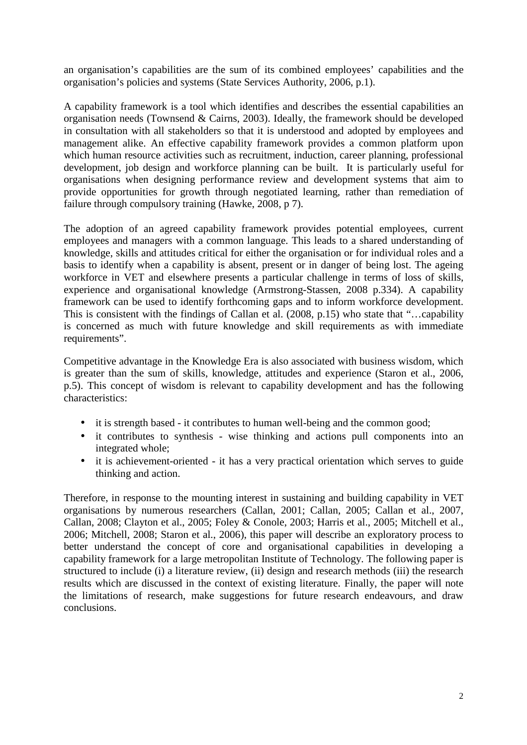an organisation's capabilities are the sum of its combined employees' capabilities and the organisation's policies and systems (State Services Authority, 2006, p.1).

A capability framework is a tool which identifies and describes the essential capabilities an organisation needs (Townsend & Cairns, 2003). Ideally, the framework should be developed in consultation with all stakeholders so that it is understood and adopted by employees and management alike. An effective capability framework provides a common platform upon which human resource activities such as recruitment, induction, career planning, professional development, job design and workforce planning can be built. It is particularly useful for organisations when designing performance review and development systems that aim to provide opportunities for growth through negotiated learning, rather than remediation of failure through compulsory training (Hawke, 2008, p 7).

The adoption of an agreed capability framework provides potential employees, current employees and managers with a common language. This leads to a shared understanding of knowledge, skills and attitudes critical for either the organisation or for individual roles and a basis to identify when a capability is absent, present or in danger of being lost. The ageing workforce in VET and elsewhere presents a particular challenge in terms of loss of skills, experience and organisational knowledge (Armstrong-Stassen, 2008 p.334). A capability framework can be used to identify forthcoming gaps and to inform workforce development. This is consistent with the findings of Callan et al. (2008, p.15) who state that "…capability is concerned as much with future knowledge and skill requirements as with immediate requirements".

Competitive advantage in the Knowledge Era is also associated with business wisdom, which is greater than the sum of skills, knowledge, attitudes and experience (Staron et al., 2006, p.5). This concept of wisdom is relevant to capability development and has the following characteristics:

- it is strength based it contributes to human well-being and the common good;
- it contributes to synthesis wise thinking and actions pull components into an integrated whole;
- it is achievement-oriented it has a very practical orientation which serves to guide thinking and action.

Therefore, in response to the mounting interest in sustaining and building capability in VET organisations by numerous researchers (Callan, 2001; Callan, 2005; Callan et al., 2007, Callan, 2008; Clayton et al., 2005; Foley & Conole, 2003; Harris et al., 2005; Mitchell et al., 2006; Mitchell, 2008; Staron et al., 2006), this paper will describe an exploratory process to better understand the concept of core and organisational capabilities in developing a capability framework for a large metropolitan Institute of Technology. The following paper is structured to include (i) a literature review, (ii) design and research methods (iii) the research results which are discussed in the context of existing literature. Finally, the paper will note the limitations of research, make suggestions for future research endeavours, and draw conclusions.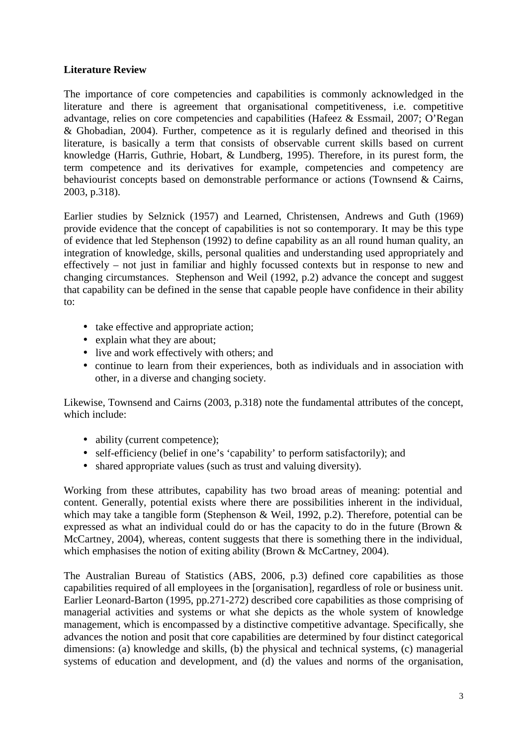## **Literature Review**

The importance of core competencies and capabilities is commonly acknowledged in the literature and there is agreement that organisational competitiveness, i.e. competitive advantage, relies on core competencies and capabilities (Hafeez & Essmail, 2007; O'Regan & Ghobadian, 2004). Further, competence as it is regularly defined and theorised in this literature, is basically a term that consists of observable current skills based on current knowledge (Harris, Guthrie, Hobart, & Lundberg, 1995). Therefore, in its purest form, the term competence and its derivatives for example, competencies and competency are behaviourist concepts based on demonstrable performance or actions (Townsend & Cairns, 2003, p.318).

Earlier studies by Selznick (1957) and Learned, Christensen, Andrews and Guth (1969) provide evidence that the concept of capabilities is not so contemporary. It may be this type of evidence that led Stephenson (1992) to define capability as an all round human quality, an integration of knowledge, skills, personal qualities and understanding used appropriately and effectively – not just in familiar and highly focussed contexts but in response to new and changing circumstances. Stephenson and Weil (1992, p.2) advance the concept and suggest that capability can be defined in the sense that capable people have confidence in their ability to:

- take effective and appropriate action;
- explain what they are about;
- live and work effectively with others; and
- continue to learn from their experiences, both as individuals and in association with other, in a diverse and changing society.

Likewise, Townsend and Cairns (2003, p.318) note the fundamental attributes of the concept, which include:

- ability (current competence);
- self-efficiency (belief in one's 'capability' to perform satisfactorily); and
- shared appropriate values (such as trust and valuing diversity).

Working from these attributes, capability has two broad areas of meaning: potential and content. Generally, potential exists where there are possibilities inherent in the individual, which may take a tangible form (Stephenson & Weil, 1992, p.2). Therefore, potential can be expressed as what an individual could do or has the capacity to do in the future (Brown & McCartney, 2004), whereas, content suggests that there is something there in the individual, which emphasises the notion of exiting ability (Brown & McCartney, 2004).

The Australian Bureau of Statistics (ABS, 2006, p.3) defined core capabilities as those capabilities required of all employees in the [organisation], regardless of role or business unit. Earlier Leonard-Barton (1995, pp.271-272) described core capabilities as those comprising of managerial activities and systems or what she depicts as the whole system of knowledge management, which is encompassed by a distinctive competitive advantage. Specifically, she advances the notion and posit that core capabilities are determined by four distinct categorical dimensions: (a) knowledge and skills, (b) the physical and technical systems, (c) managerial systems of education and development, and (d) the values and norms of the organisation,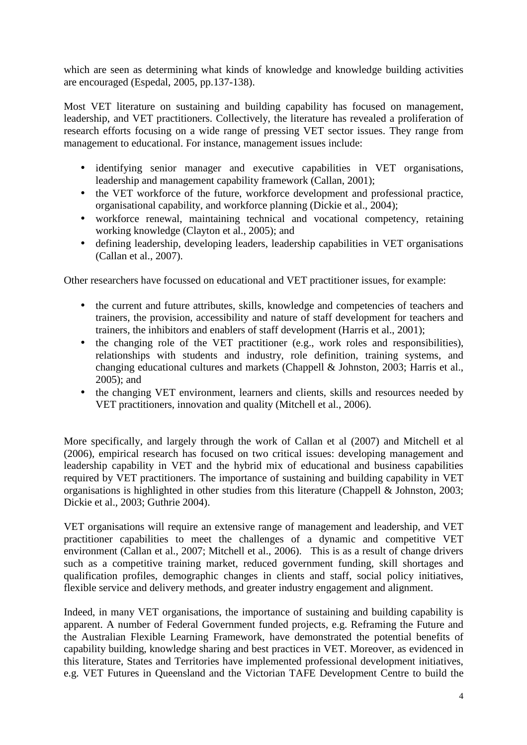which are seen as determining what kinds of knowledge and knowledge building activities are encouraged (Espedal, 2005, pp.137-138).

Most VET literature on sustaining and building capability has focused on management, leadership, and VET practitioners. Collectively, the literature has revealed a proliferation of research efforts focusing on a wide range of pressing VET sector issues. They range from management to educational. For instance, management issues include:

- identifying senior manager and executive capabilities in VET organisations, leadership and management capability framework (Callan, 2001);
- the VET workforce of the future, workforce development and professional practice, organisational capability, and workforce planning (Dickie et al., 2004);
- workforce renewal, maintaining technical and vocational competency, retaining working knowledge (Clayton et al., 2005); and
- defining leadership, developing leaders, leadership capabilities in VET organisations (Callan et al., 2007).

Other researchers have focussed on educational and VET practitioner issues, for example:

- the current and future attributes, skills, knowledge and competencies of teachers and trainers, the provision, accessibility and nature of staff development for teachers and trainers, the inhibitors and enablers of staff development (Harris et al., 2001);
- the changing role of the VET practitioner (e.g., work roles and responsibilities), relationships with students and industry, role definition, training systems, and changing educational cultures and markets (Chappell & Johnston, 2003; Harris et al., 2005); and
- the changing VET environment, learners and clients, skills and resources needed by VET practitioners, innovation and quality (Mitchell et al., 2006).

More specifically, and largely through the work of Callan et al (2007) and Mitchell et al (2006), empirical research has focused on two critical issues: developing management and leadership capability in VET and the hybrid mix of educational and business capabilities required by VET practitioners. The importance of sustaining and building capability in VET organisations is highlighted in other studies from this literature (Chappell & Johnston, 2003; Dickie et al., 2003; Guthrie 2004).

VET organisations will require an extensive range of management and leadership, and VET practitioner capabilities to meet the challenges of a dynamic and competitive VET environment (Callan et al., 2007; Mitchell et al., 2006). This is as a result of change drivers such as a competitive training market, reduced government funding, skill shortages and qualification profiles, demographic changes in clients and staff, social policy initiatives, flexible service and delivery methods, and greater industry engagement and alignment.

Indeed, in many VET organisations, the importance of sustaining and building capability is apparent. A number of Federal Government funded projects, e.g. Reframing the Future and the Australian Flexible Learning Framework, have demonstrated the potential benefits of capability building, knowledge sharing and best practices in VET. Moreover, as evidenced in this literature, States and Territories have implemented professional development initiatives, e.g. VET Futures in Queensland and the Victorian TAFE Development Centre to build the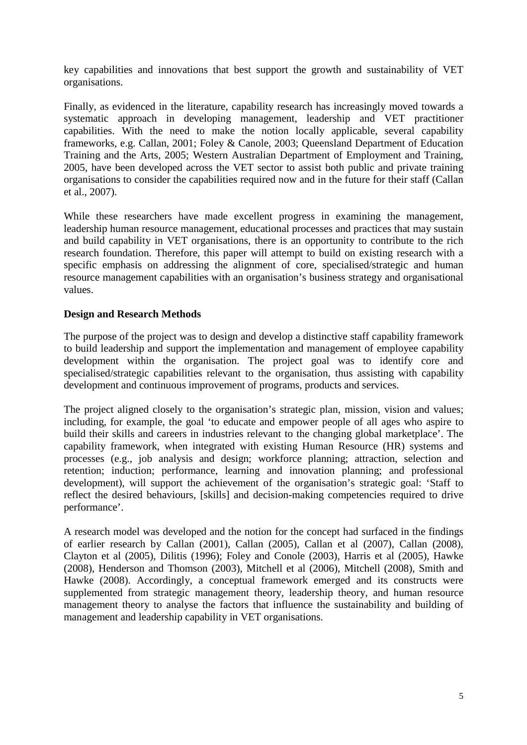key capabilities and innovations that best support the growth and sustainability of VET organisations.

Finally, as evidenced in the literature, capability research has increasingly moved towards a systematic approach in developing management, leadership and VET practitioner capabilities. With the need to make the notion locally applicable, several capability frameworks, e.g. Callan, 2001; Foley & Canole, 2003; Queensland Department of Education Training and the Arts, 2005; Western Australian Department of Employment and Training, 2005, have been developed across the VET sector to assist both public and private training organisations to consider the capabilities required now and in the future for their staff (Callan et al., 2007).

While these researchers have made excellent progress in examining the management, leadership human resource management, educational processes and practices that may sustain and build capability in VET organisations, there is an opportunity to contribute to the rich research foundation. Therefore, this paper will attempt to build on existing research with a specific emphasis on addressing the alignment of core, specialised/strategic and human resource management capabilities with an organisation's business strategy and organisational values.

### **Design and Research Methods**

The purpose of the project was to design and develop a distinctive staff capability framework to build leadership and support the implementation and management of employee capability development within the organisation. The project goal was to identify core and specialised/strategic capabilities relevant to the organisation, thus assisting with capability development and continuous improvement of programs, products and services.

The project aligned closely to the organisation's strategic plan, mission, vision and values; including, for example, the goal 'to educate and empower people of all ages who aspire to build their skills and careers in industries relevant to the changing global marketplace'. The capability framework, when integrated with existing Human Resource (HR) systems and processes (e.g., job analysis and design; workforce planning; attraction, selection and retention; induction; performance, learning and innovation planning; and professional development), will support the achievement of the organisation's strategic goal: 'Staff to reflect the desired behaviours, [skills] and decision-making competencies required to drive performance'.

A research model was developed and the notion for the concept had surfaced in the findings of earlier research by Callan (2001), Callan (2005), Callan et al (2007), Callan (2008), Clayton et al (2005), Dilitis (1996); Foley and Conole (2003), Harris et al (2005), Hawke (2008), Henderson and Thomson (2003), Mitchell et al (2006), Mitchell (2008), Smith and Hawke (2008). Accordingly, a conceptual framework emerged and its constructs were supplemented from strategic management theory, leadership theory, and human resource management theory to analyse the factors that influence the sustainability and building of management and leadership capability in VET organisations.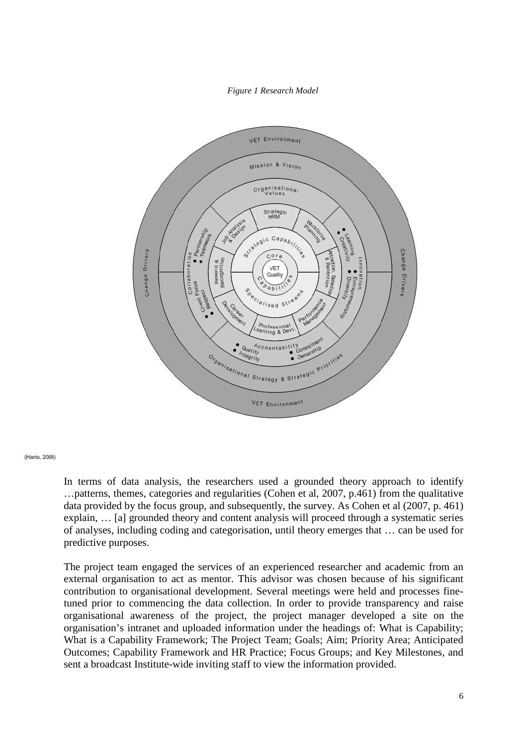#### *Figure 1 Research Model*



(Harris, 2008)

In terms of data analysis, the researchers used a grounded theory approach to identify …patterns, themes, categories and regularities (Cohen et al, 2007, p.461) from the qualitative data provided by the focus group, and subsequently, the survey. As Cohen et al (2007, p. 461) explain, … [a] grounded theory and content analysis will proceed through a systematic series of analyses, including coding and categorisation, until theory emerges that … can be used for predictive purposes.

The project team engaged the services of an experienced researcher and academic from an external organisation to act as mentor. This advisor was chosen because of his significant contribution to organisational development. Several meetings were held and processes finetuned prior to commencing the data collection. In order to provide transparency and raise organisational awareness of the project, the project manager developed a site on the organisation's intranet and uploaded information under the headings of: What is Capability; What is a Capability Framework; The Project Team; Goals; Aim; Priority Area; Anticipated Outcomes; Capability Framework and HR Practice; Focus Groups; and Key Milestones, and sent a broadcast Institute-wide inviting staff to view the information provided.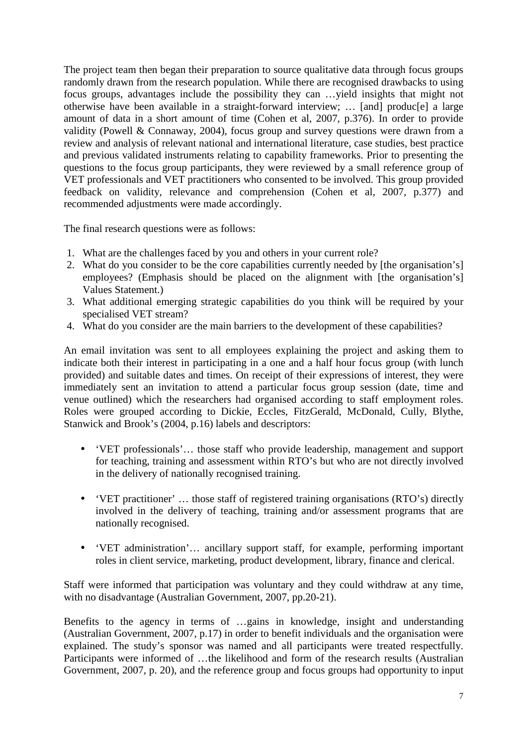The project team then began their preparation to source qualitative data through focus groups randomly drawn from the research population. While there are recognised drawbacks to using focus groups, advantages include the possibility they can …yield insights that might not otherwise have been available in a straight-forward interview; … [and] produc[e] a large amount of data in a short amount of time (Cohen et al, 2007, p.376). In order to provide validity (Powell & Connaway, 2004), focus group and survey questions were drawn from a review and analysis of relevant national and international literature, case studies, best practice and previous validated instruments relating to capability frameworks. Prior to presenting the questions to the focus group participants, they were reviewed by a small reference group of VET professionals and VET practitioners who consented to be involved. This group provided feedback on validity, relevance and comprehension (Cohen et al, 2007, p.377) and recommended adjustments were made accordingly.

The final research questions were as follows:

- 1. What are the challenges faced by you and others in your current role?
- 2. What do you consider to be the core capabilities currently needed by [the organisation's] employees? (Emphasis should be placed on the alignment with [the organisation's] Values Statement.)
- 3. What additional emerging strategic capabilities do you think will be required by your specialised VET stream?
- 4. What do you consider are the main barriers to the development of these capabilities?

An email invitation was sent to all employees explaining the project and asking them to indicate both their interest in participating in a one and a half hour focus group (with lunch provided) and suitable dates and times. On receipt of their expressions of interest, they were immediately sent an invitation to attend a particular focus group session (date, time and venue outlined) which the researchers had organised according to staff employment roles. Roles were grouped according to Dickie, Eccles, FitzGerald, McDonald, Cully, Blythe, Stanwick and Brook's (2004, p.16) labels and descriptors:

- 'VET professionals'… those staff who provide leadership, management and support for teaching, training and assessment within RTO's but who are not directly involved in the delivery of nationally recognised training.
- 'VET practitioner' … those staff of registered training organisations (RTO's) directly involved in the delivery of teaching, training and/or assessment programs that are nationally recognised.
- 'VET administration'… ancillary support staff, for example, performing important roles in client service, marketing, product development, library, finance and clerical.

Staff were informed that participation was voluntary and they could withdraw at any time, with no disadvantage (Australian Government, 2007, pp.20-21).

Benefits to the agency in terms of …gains in knowledge, insight and understanding (Australian Government, 2007, p.17) in order to benefit individuals and the organisation were explained. The study's sponsor was named and all participants were treated respectfully. Participants were informed of …the likelihood and form of the research results (Australian Government, 2007, p. 20), and the reference group and focus groups had opportunity to input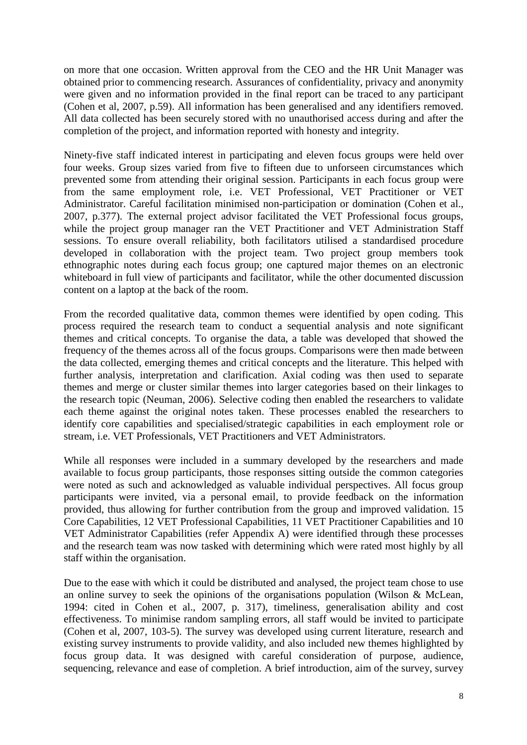on more that one occasion. Written approval from the CEO and the HR Unit Manager was obtained prior to commencing research. Assurances of confidentiality, privacy and anonymity were given and no information provided in the final report can be traced to any participant (Cohen et al, 2007, p.59). All information has been generalised and any identifiers removed. All data collected has been securely stored with no unauthorised access during and after the completion of the project, and information reported with honesty and integrity.

Ninety-five staff indicated interest in participating and eleven focus groups were held over four weeks. Group sizes varied from five to fifteen due to unforseen circumstances which prevented some from attending their original session. Participants in each focus group were from the same employment role, i.e. VET Professional, VET Practitioner or VET Administrator. Careful facilitation minimised non-participation or domination (Cohen et al., 2007, p.377). The external project advisor facilitated the VET Professional focus groups, while the project group manager ran the VET Practitioner and VET Administration Staff sessions. To ensure overall reliability, both facilitators utilised a standardised procedure developed in collaboration with the project team. Two project group members took ethnographic notes during each focus group; one captured major themes on an electronic whiteboard in full view of participants and facilitator, while the other documented discussion content on a laptop at the back of the room.

From the recorded qualitative data, common themes were identified by open coding. This process required the research team to conduct a sequential analysis and note significant themes and critical concepts. To organise the data, a table was developed that showed the frequency of the themes across all of the focus groups. Comparisons were then made between the data collected, emerging themes and critical concepts and the literature. This helped with further analysis, interpretation and clarification. Axial coding was then used to separate themes and merge or cluster similar themes into larger categories based on their linkages to the research topic (Neuman, 2006). Selective coding then enabled the researchers to validate each theme against the original notes taken. These processes enabled the researchers to identify core capabilities and specialised/strategic capabilities in each employment role or stream, i.e. VET Professionals, VET Practitioners and VET Administrators.

While all responses were included in a summary developed by the researchers and made available to focus group participants, those responses sitting outside the common categories were noted as such and acknowledged as valuable individual perspectives. All focus group participants were invited, via a personal email, to provide feedback on the information provided, thus allowing for further contribution from the group and improved validation. 15 Core Capabilities, 12 VET Professional Capabilities, 11 VET Practitioner Capabilities and 10 VET Administrator Capabilities (refer Appendix A) were identified through these processes and the research team was now tasked with determining which were rated most highly by all staff within the organisation.

Due to the ease with which it could be distributed and analysed, the project team chose to use an online survey to seek the opinions of the organisations population (Wilson & McLean, 1994: cited in Cohen et al., 2007, p. 317), timeliness, generalisation ability and cost effectiveness. To minimise random sampling errors, all staff would be invited to participate (Cohen et al, 2007, 103-5). The survey was developed using current literature, research and existing survey instruments to provide validity, and also included new themes highlighted by focus group data. It was designed with careful consideration of purpose, audience, sequencing, relevance and ease of completion. A brief introduction, aim of the survey, survey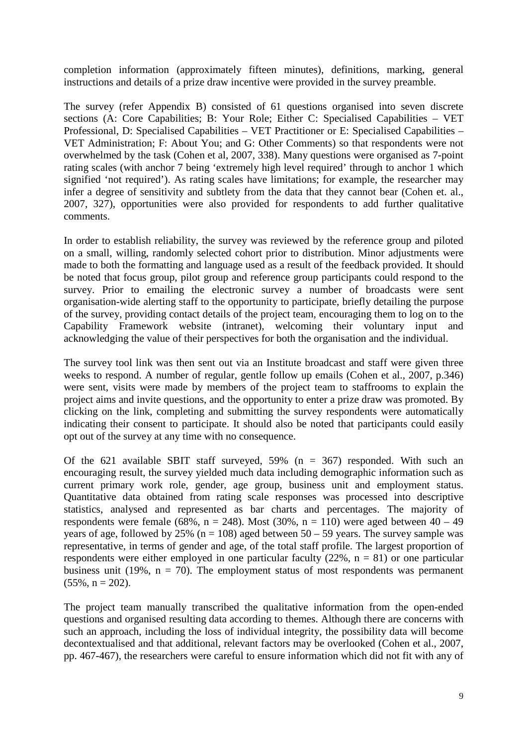completion information (approximately fifteen minutes), definitions, marking, general instructions and details of a prize draw incentive were provided in the survey preamble.

The survey (refer Appendix B) consisted of 61 questions organised into seven discrete sections (A: Core Capabilities; B: Your Role; Either C: Specialised Capabilities – VET Professional, D: Specialised Capabilities – VET Practitioner or E: Specialised Capabilities – VET Administration; F: About You; and G: Other Comments) so that respondents were not overwhelmed by the task (Cohen et al, 2007, 338). Many questions were organised as 7-point rating scales (with anchor 7 being 'extremely high level required' through to anchor 1 which signified 'not required'). As rating scales have limitations; for example, the researcher may infer a degree of sensitivity and subtlety from the data that they cannot bear (Cohen et. al., 2007, 327), opportunities were also provided for respondents to add further qualitative comments.

In order to establish reliability, the survey was reviewed by the reference group and piloted on a small, willing, randomly selected cohort prior to distribution. Minor adjustments were made to both the formatting and language used as a result of the feedback provided. It should be noted that focus group, pilot group and reference group participants could respond to the survey. Prior to emailing the electronic survey a number of broadcasts were sent organisation-wide alerting staff to the opportunity to participate, briefly detailing the purpose of the survey, providing contact details of the project team, encouraging them to log on to the Capability Framework website (intranet), welcoming their voluntary input and acknowledging the value of their perspectives for both the organisation and the individual.

The survey tool link was then sent out via an Institute broadcast and staff were given three weeks to respond. A number of regular, gentle follow up emails (Cohen et al., 2007, p.346) were sent, visits were made by members of the project team to staffrooms to explain the project aims and invite questions, and the opportunity to enter a prize draw was promoted. By clicking on the link, completing and submitting the survey respondents were automatically indicating their consent to participate. It should also be noted that participants could easily opt out of the survey at any time with no consequence.

Of the 621 available SBIT staff surveyed, 59% ( $n = 367$ ) responded. With such an encouraging result, the survey yielded much data including demographic information such as current primary work role, gender, age group, business unit and employment status. Quantitative data obtained from rating scale responses was processed into descriptive statistics, analysed and represented as bar charts and percentages. The majority of respondents were female (68%,  $n = 248$ ). Most (30%,  $n = 110$ ) were aged between 40 – 49 years of age, followed by 25% (n = 108) aged between  $50 - 59$  years. The survey sample was representative, in terms of gender and age, of the total staff profile. The largest proportion of respondents were either employed in one particular faculty (22%,  $n = 81$ ) or one particular business unit (19%,  $n = 70$ ). The employment status of most respondents was permanent  $(55\%, n = 202)$ .

The project team manually transcribed the qualitative information from the open-ended questions and organised resulting data according to themes. Although there are concerns with such an approach, including the loss of individual integrity, the possibility data will become decontextualised and that additional, relevant factors may be overlooked (Cohen et al., 2007, pp. 467-467), the researchers were careful to ensure information which did not fit with any of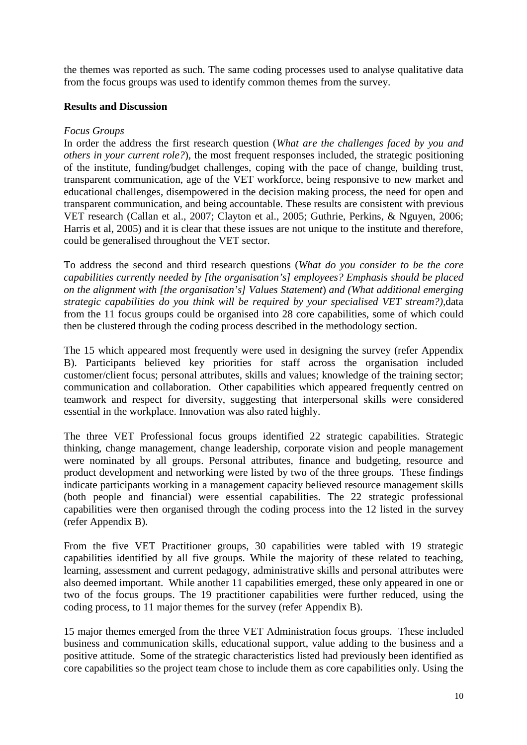the themes was reported as such. The same coding processes used to analyse qualitative data from the focus groups was used to identify common themes from the survey.

### **Results and Discussion**

### *Focus Groups*

In order the address the first research question (*What are the challenges faced by you and others in your current role?*), the most frequent responses included, the strategic positioning of the institute, funding/budget challenges, coping with the pace of change, building trust, transparent communication, age of the VET workforce, being responsive to new market and educational challenges, disempowered in the decision making process, the need for open and transparent communication, and being accountable. These results are consistent with previous VET research (Callan et al., 2007; Clayton et al., 2005; Guthrie, Perkins, & Nguyen, 2006; Harris et al, 2005) and it is clear that these issues are not unique to the institute and therefore, could be generalised throughout the VET sector.

To address the second and third research questions (*What do you consider to be the core capabilities currently needed by [the organisation's] employees? Emphasis should be placed on the alignment with [the organisation's] Values Statement*) *and (What additional emerging strategic capabilities do you think will be required by your specialised VET stream?)*,data from the 11 focus groups could be organised into 28 core capabilities, some of which could then be clustered through the coding process described in the methodology section.

The 15 which appeared most frequently were used in designing the survey (refer Appendix B). Participants believed key priorities for staff across the organisation included customer/client focus; personal attributes, skills and values; knowledge of the training sector; communication and collaboration. Other capabilities which appeared frequently centred on teamwork and respect for diversity, suggesting that interpersonal skills were considered essential in the workplace. Innovation was also rated highly.

The three VET Professional focus groups identified 22 strategic capabilities. Strategic thinking, change management, change leadership, corporate vision and people management were nominated by all groups. Personal attributes, finance and budgeting, resource and product development and networking were listed by two of the three groups. These findings indicate participants working in a management capacity believed resource management skills (both people and financial) were essential capabilities. The 22 strategic professional capabilities were then organised through the coding process into the 12 listed in the survey (refer Appendix B).

From the five VET Practitioner groups, 30 capabilities were tabled with 19 strategic capabilities identified by all five groups. While the majority of these related to teaching, learning, assessment and current pedagogy, administrative skills and personal attributes were also deemed important. While another 11 capabilities emerged, these only appeared in one or two of the focus groups. The 19 practitioner capabilities were further reduced, using the coding process, to 11 major themes for the survey (refer Appendix B).

15 major themes emerged from the three VET Administration focus groups. These included business and communication skills, educational support, value adding to the business and a positive attitude. Some of the strategic characteristics listed had previously been identified as core capabilities so the project team chose to include them as core capabilities only. Using the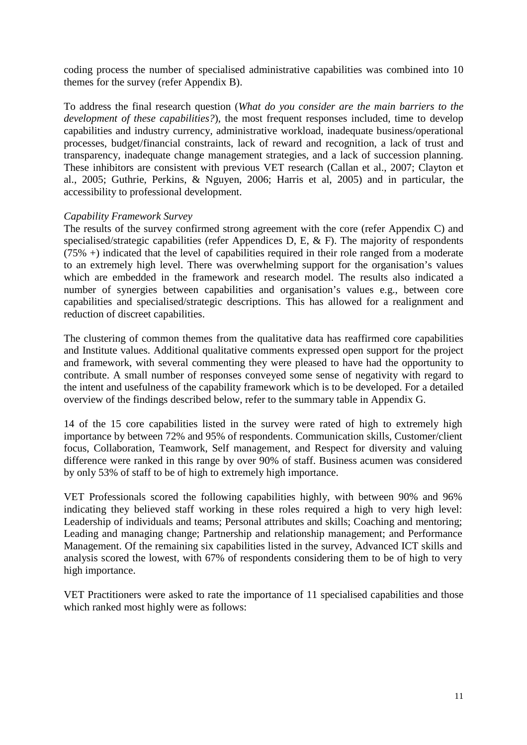coding process the number of specialised administrative capabilities was combined into 10 themes for the survey (refer Appendix B).

To address the final research question (*What do you consider are the main barriers to the development of these capabilities?*), the most frequent responses included, time to develop capabilities and industry currency, administrative workload, inadequate business/operational processes, budget/financial constraints, lack of reward and recognition, a lack of trust and transparency, inadequate change management strategies, and a lack of succession planning. These inhibitors are consistent with previous VET research (Callan et al., 2007; Clayton et al., 2005; Guthrie, Perkins, & Nguyen, 2006; Harris et al, 2005) and in particular, the accessibility to professional development.

### *Capability Framework Survey*

The results of the survey confirmed strong agreement with the core (refer Appendix C) and specialised/strategic capabilities (refer Appendices D, E, & F). The majority of respondents  $(75\% +)$  indicated that the level of capabilities required in their role ranged from a moderate to an extremely high level. There was overwhelming support for the organisation's values which are embedded in the framework and research model. The results also indicated a number of synergies between capabilities and organisation's values e.g., between core capabilities and specialised/strategic descriptions. This has allowed for a realignment and reduction of discreet capabilities.

The clustering of common themes from the qualitative data has reaffirmed core capabilities and Institute values. Additional qualitative comments expressed open support for the project and framework, with several commenting they were pleased to have had the opportunity to contribute. A small number of responses conveyed some sense of negativity with regard to the intent and usefulness of the capability framework which is to be developed. For a detailed overview of the findings described below, refer to the summary table in Appendix G.

14 of the 15 core capabilities listed in the survey were rated of high to extremely high importance by between 72% and 95% of respondents. Communication skills, Customer/client focus, Collaboration, Teamwork, Self management, and Respect for diversity and valuing difference were ranked in this range by over 90% of staff. Business acumen was considered by only 53% of staff to be of high to extremely high importance.

VET Professionals scored the following capabilities highly, with between 90% and 96% indicating they believed staff working in these roles required a high to very high level: Leadership of individuals and teams; Personal attributes and skills; Coaching and mentoring; Leading and managing change; Partnership and relationship management; and Performance Management. Of the remaining six capabilities listed in the survey, Advanced ICT skills and analysis scored the lowest, with 67% of respondents considering them to be of high to very high importance.

VET Practitioners were asked to rate the importance of 11 specialised capabilities and those which ranked most highly were as follows: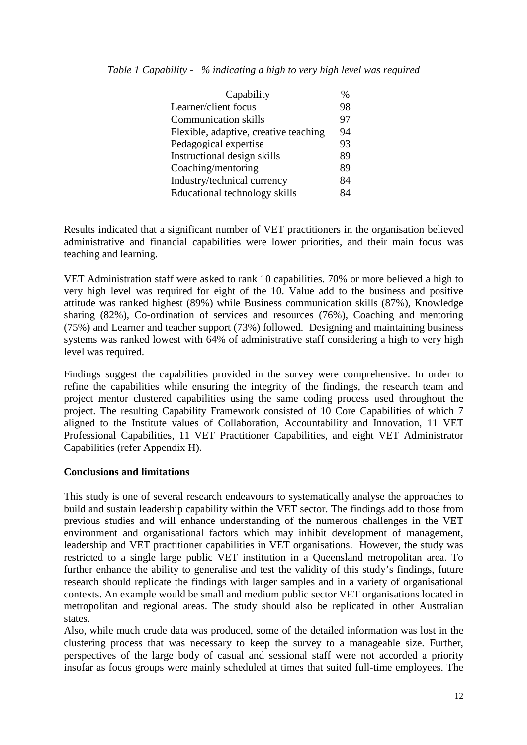| Capability                            | %  |
|---------------------------------------|----|
| Learner/client focus                  | 98 |
| <b>Communication skills</b>           | 97 |
| Flexible, adaptive, creative teaching | 94 |
| Pedagogical expertise                 | 93 |
| Instructional design skills           | 89 |
| Coaching/mentoring                    | 89 |
| Industry/technical currency           | 84 |
| Educational technology skills         | ₹Δ |

*Table 1 Capability - % indicating a high to very high level was required* 

Results indicated that a significant number of VET practitioners in the organisation believed administrative and financial capabilities were lower priorities, and their main focus was teaching and learning.

VET Administration staff were asked to rank 10 capabilities. 70% or more believed a high to very high level was required for eight of the 10. Value add to the business and positive attitude was ranked highest (89%) while Business communication skills (87%), Knowledge sharing (82%), Co-ordination of services and resources (76%), Coaching and mentoring (75%) and Learner and teacher support (73%) followed. Designing and maintaining business systems was ranked lowest with 64% of administrative staff considering a high to very high level was required.

Findings suggest the capabilities provided in the survey were comprehensive. In order to refine the capabilities while ensuring the integrity of the findings, the research team and project mentor clustered capabilities using the same coding process used throughout the project. The resulting Capability Framework consisted of 10 Core Capabilities of which 7 aligned to the Institute values of Collaboration, Accountability and Innovation, 11 VET Professional Capabilities, 11 VET Practitioner Capabilities, and eight VET Administrator Capabilities (refer Appendix H).

### **Conclusions and limitations**

This study is one of several research endeavours to systematically analyse the approaches to build and sustain leadership capability within the VET sector. The findings add to those from previous studies and will enhance understanding of the numerous challenges in the VET environment and organisational factors which may inhibit development of management, leadership and VET practitioner capabilities in VET organisations. However, the study was restricted to a single large public VET institution in a Queensland metropolitan area. To further enhance the ability to generalise and test the validity of this study's findings, future research should replicate the findings with larger samples and in a variety of organisational contexts. An example would be small and medium public sector VET organisations located in metropolitan and regional areas. The study should also be replicated in other Australian states.

Also, while much crude data was produced, some of the detailed information was lost in the clustering process that was necessary to keep the survey to a manageable size. Further, perspectives of the large body of casual and sessional staff were not accorded a priority insofar as focus groups were mainly scheduled at times that suited full-time employees. The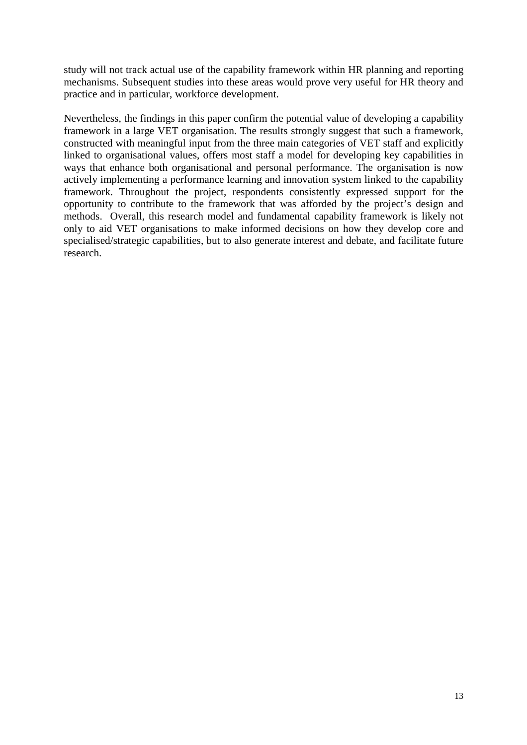study will not track actual use of the capability framework within HR planning and reporting mechanisms. Subsequent studies into these areas would prove very useful for HR theory and practice and in particular, workforce development.

Nevertheless, the findings in this paper confirm the potential value of developing a capability framework in a large VET organisation. The results strongly suggest that such a framework, constructed with meaningful input from the three main categories of VET staff and explicitly linked to organisational values, offers most staff a model for developing key capabilities in ways that enhance both organisational and personal performance. The organisation is now actively implementing a performance learning and innovation system linked to the capability framework. Throughout the project, respondents consistently expressed support for the opportunity to contribute to the framework that was afforded by the project's design and methods. Overall, this research model and fundamental capability framework is likely not only to aid VET organisations to make informed decisions on how they develop core and specialised/strategic capabilities, but to also generate interest and debate, and facilitate future research.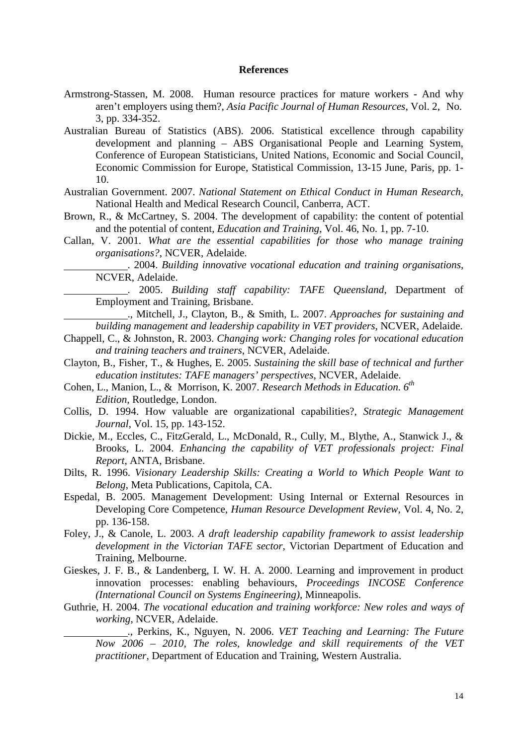#### **References**

- Armstrong-Stassen, M. 2008. Human resource practices for mature workers And why aren't employers using them?, *Asia Pacific Journal of Human Resources*, Vol. 2, No. 3, pp. 334-352.
- Australian Bureau of Statistics (ABS). 2006. Statistical excellence through capability development and planning – ABS Organisational People and Learning System, Conference of European Statisticians, United Nations, Economic and Social Council, Economic Commission for Europe, Statistical Commission, 13-15 June, Paris, pp. 1- 10.
- Australian Government. 2007. *National Statement on Ethical Conduct in Human Research,*  National Health and Medical Research Council, Canberra, ACT.
- Brown, R., & McCartney, S. 2004. The development of capability: the content of potential and the potential of content, *Education and Training*, Vol. 46, No. 1, pp. 7-10.
- Callan, V. 2001. *What are the essential capabilities for those who manage training organisations?*, NCVER, Adelaide.

 . 2004. *Building innovative vocational education and training organisations*, NCVER, Adelaide.

 . 2005. *Building staff capability: TAFE Queensland*, Department of Employment and Training, Brisbane.

 ., Mitchell, J., Clayton, B., & Smith, L. 2007. *Approaches for sustaining and building management and leadership capability in VET providers*, NCVER, Adelaide.

- Chappell, C., & Johnston, R. 2003. *Changing work: Changing roles for vocational education and training teachers and trainers*, NCVER, Adelaide.
- Clayton, B., Fisher, T., & Hughes, E. 2005. *Sustaining the skill base of technical and further education institutes: TAFE managers' perspectives*, NCVER, Adelaide.
- Cohen, L., Manion, L., & Morrison, K. 2007. *Research Methods in Education.* 6<sup>th</sup>  *Edition,* Routledge, London.
- Collis, D. 1994. How valuable are organizational capabilities?, *Strategic Management Journal*, Vol. 15, pp. 143-152.
- Dickie, M., Eccles, C., FitzGerald, L., McDonald, R., Cully, M., Blythe, A., Stanwick J., & Brooks, L. 2004. *Enhancing the capability of VET professionals project: Final Report*, ANTA, Brisbane.
- Dilts, R. 1996. *Visionary Leadership Skills: Creating a World to Which People Want to Belong*, Meta Publications, Capitola, CA.
- Espedal, B. 2005. Management Development: Using Internal or External Resources in Developing Core Competence, *Human Resource Development Review*, Vol. 4, No. 2, pp. 136-158.
- Foley, J., & Canole, L. 2003. *A draft leadership capability framework to assist leadership development in the Victorian TAFE sector*, Victorian Department of Education and Training, Melbourne.
- Gieskes, J. F. B., & Landenberg, I. W. H. A. 2000. Learning and improvement in product innovation processes: enabling behaviours, *Proceedings INCOSE Conference (International Council on Systems Engineering)*, Minneapolis.
- Guthrie, H. 2004. *The vocational education and training workforce: New roles and ways of working*, NCVER, Adelaide.

 ., Perkins, K., Nguyen, N. 2006. *VET Teaching and Learning: The Future Now 2006 – 2010, The roles, knowledge and skill requirements of the VET practitioner*, Department of Education and Training, Western Australia.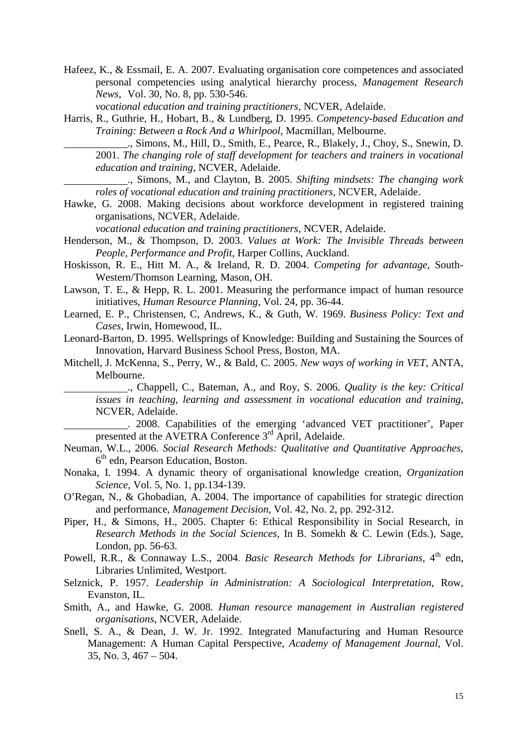Hafeez, K., & Essmail, E. A. 2007. Evaluating organisation core competences and associated personal competencies using analytical hierarchy process, *Management Research News*, Vol. 30, No. 8, pp. 530-546.

 *vocational education and training practitioners*, NCVER, Adelaide.

Harris, R., Guthrie, H., Hobart, B., & Lundberg, D. 1995. *Competency-based Education and Training: Between a Rock And a Whirlpool*, Macmillan, Melbourne.

 ., Simons, M., Hill, D., Smith, E., Pearce, R., Blakely, J., Choy, S., Snewin, D. 2001. *The changing role of staff development for teachers and trainers in vocational education and training*, NCVER, Adelaide.

 ., Simons, M., and Clayton, B. 2005. *Shifting mindsets: The changing work roles of vocational education and training practitioners*, NCVER, Adelaide.

Hawke, G. 2008. Making decisions about workforce development in registered training organisations, NCVER, Adelaide.

 *vocational education and training practitioners*, NCVER, Adelaide.

- Henderson, M., & Thompson, D. 2003. *Values at Work: The Invisible Threads between People, Performance and Profit*, Harper Collins, Auckland.
- Hoskisson, R. E., Hitt M. A., & Ireland, R. D. 2004. *Competing for advantage*, South-Western/Thomson Learning, Mason, OH.
- Lawson, T. E., & Hepp, R. L. 2001. Measuring the performance impact of human resource initiatives, *Human Resource Planning*, Vol. 24, pp. 36-44.
- Learned, E. P., Christensen, C, Andrews, K., & Guth, W. 1969. *Business Policy: Text and Cases*, Irwin, Homewood, IL.
- Leonard-Barton, D. 1995. Wellsprings of Knowledge: Building and Sustaining the Sources of Innovation, Harvard Business School Press, Boston, MA.
- Mitchell, J. McKenna, S., Perry, W., & Bald, C. 2005. *New ways of working in VET*, ANTA, Melbourne.

 ., Chappell, C., Bateman, A., and Roy, S. 2006. *Quality is the key: Critical issues in teaching, learning and assessment in vocational education and training*, NCVER, Adelaide.

 . 2008. Capabilities of the emerging 'advanced VET practitioner', Paper presented at the AVETRA Conference 3<sup>rd</sup> April, Adelaide.

- Neuman, W.L., 2006. *Social Research Methods: Qualitative and Quantitative Approaches,*  6<sup>th</sup> edn, Pearson Education, Boston.
- Nonaka, I. 1994. A dynamic theory of organisational knowledge creation, *Organization Science*, Vol. 5, No. 1, pp.134-139.
- O'Regan, N., & Ghobadian, A. 2004. The importance of capabilities for strategic direction and performance, *Management Decision*, Vol. 42, No. 2, pp. 292-312.
- Piper, H., & Simons, H., 2005. Chapter 6: Ethical Responsibility in Social Research, in *Research Methods in the Social Sciences,* In B. Somekh & C. Lewin (Eds.), Sage, London, pp. 56-63.
- Powell, R.R., & Connaway L.S., 2004. *Basic Research Methods for Librarians*, 4<sup>th</sup> edn, Libraries Unlimited, Westport.
- Selznick, P. 1957. *Leadership in Administration: A Sociological Interpretation*, Row, Evanston, IL.
- Smith, A., and Hawke, G. 2008*. Human resource management in Australian registered organisations*, NCVER, Adelaide.
- Snell, S. A., & Dean, J. W. Jr. 1992. Integrated Manufacturing and Human Resource Management: A Human Capital Perspective, *Academy of Management Journal*, Vol. 35, No. 3, 467 – 504.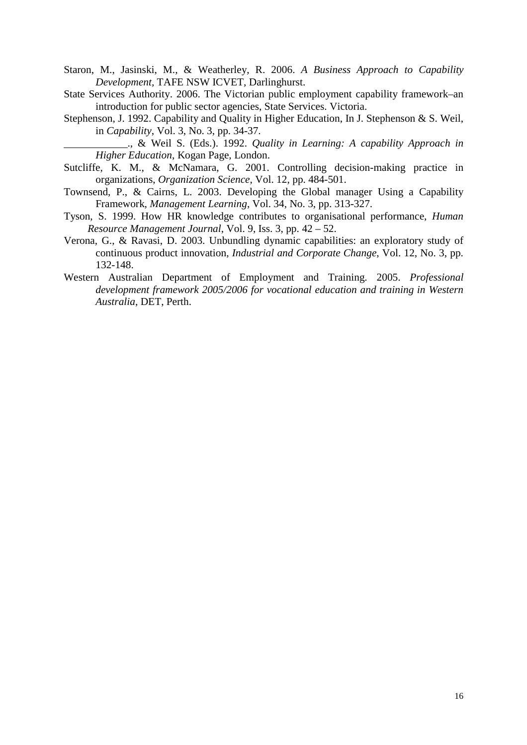- Staron, M., Jasinski, M., & Weatherley, R. 2006. *A Business Approach to Capability Development,* TAFE NSW ICVET, Darlinghurst.
- State Services Authority. 2006. The Victorian public employment capability framework–an introduction for public sector agencies, State Services. Victoria.
- Stephenson, J. 1992. Capability and Quality in Higher Education, In J. Stephenson & S. Weil, in *Capability*, Vol. 3, No. 3, pp. 34-37.

 ., & Weil S. (Eds.). 1992. *Quality in Learning: A capability Approach in Higher Education*, Kogan Page, London.

- Sutcliffe, K. M., & McNamara, G. 2001. Controlling decision-making practice in organizations, *Organization Science*, Vol. 12, pp. 484-501.
- Townsend, P., & Cairns, L. 2003. Developing the Global manager Using a Capability Framework, *Management Learning*, Vol. 34, No. 3, pp. 313-327.
- Tyson, S. 1999. How HR knowledge contributes to organisational performance, *Human Resource Management Journal*, Vol. 9, Iss. 3, pp. 42 – 52.
- Verona, G., & Ravasi, D. 2003. Unbundling dynamic capabilities: an exploratory study of continuous product innovation, *Industrial and Corporate Change*, Vol. 12, No. 3, pp. 132-148.
- Western Australian Department of Employment and Training. 2005. *Professional development framework 2005/2006 for vocational education and training in Western Australia*, DET, Perth.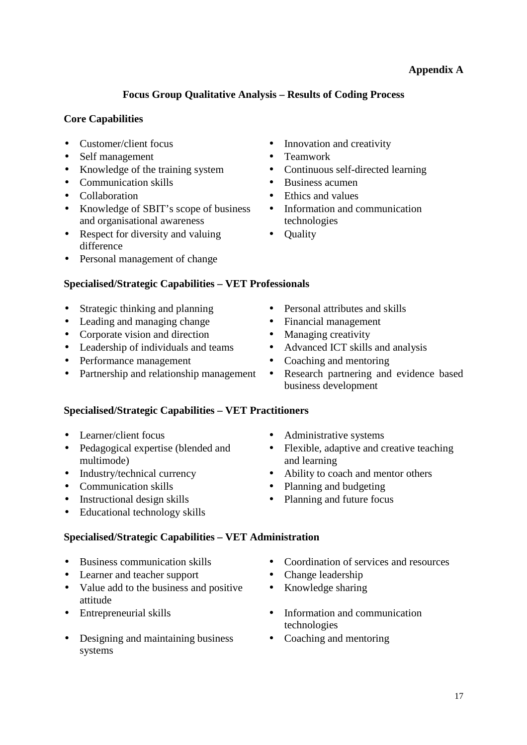# **Appendix A**

# **Focus Group Qualitative Analysis – Results of Coding Process**

# **Core Capabilities**

- 
- Self management Teamwork
- Knowledge of the training system Continuous self-directed learning
- Communication skills Business acumen
- 
- Knowledge of SBIT's scope of business and organisational awareness
- Respect for diversity and valuing difference
- Personal management of change

# **Specialised/Strategic Capabilities – VET Professionals**

- Strategic thinking and planning Personal attributes and skills
- Leading and managing change Financial management
- Corporate vision and direction Managing creativity
- Leadership of individuals and teams Advanced ICT skills and analysis
- Performance management Coaching and mentoring
- 

## **Specialised/Strategic Capabilities – VET Practitioners**

- 
- Pedagogical expertise (blended and multimode)
- 
- 
- Instructional design skills Planning and future focus
- Educational technology skills

# **Specialised/Strategic Capabilities – VET Administration**

- 
- Learner and teacher support Change leadership
- Value add to the business and positive attitude
- 
- Designing and maintaining business systems
- Customer/client focus Innovation and creativity
	-
	-
	-
- Collaboration Ethics and values
	- Information and communication technologies
	- Quality
	-
	-
	-
	-
	-
- Partnership and relationship management Research partnering and evidence based business development
- Learner/client focus Administrative systems
	- Flexible, adaptive and creative teaching and learning
- Industry/technical currency Ability to coach and mentor others
- Communication skills Planning and budgeting
	-
- Business communication skills Coordination of services and resources
	-
	- Knowledge sharing
- Entrepreneurial skills Information and communication technologies
	- Coaching and mentoring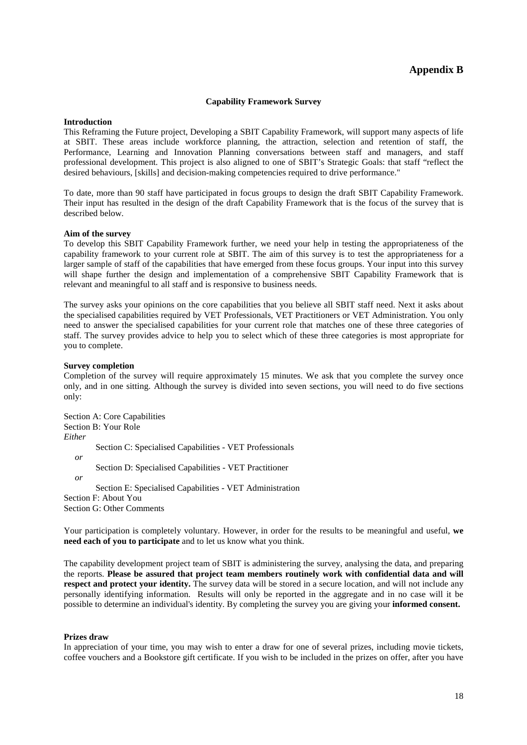### **Appendix B**

#### **Capability Framework Survey**

#### **Introduction**

This Reframing the Future project, Developing a SBIT Capability Framework, will support many aspects of life at SBIT. These areas include workforce planning, the attraction, selection and retention of staff, the Performance, Learning and Innovation Planning conversations between staff and managers, and staff professional development. This project is also aligned to one of SBIT's Strategic Goals: that staff "reflect the desired behaviours, [skills] and decision-making competencies required to drive performance."

To date, more than 90 staff have participated in focus groups to design the draft SBIT Capability Framework. Their input has resulted in the design of the draft Capability Framework that is the focus of the survey that is described below.

#### **Aim of the survey**

To develop this SBIT Capability Framework further, we need your help in testing the appropriateness of the capability framework to your current role at SBIT. The aim of this survey is to test the appropriateness for a larger sample of staff of the capabilities that have emerged from these focus groups. Your input into this survey will shape further the design and implementation of a comprehensive SBIT Capability Framework that is relevant and meaningful to all staff and is responsive to business needs.

The survey asks your opinions on the core capabilities that you believe all SBIT staff need. Next it asks about the specialised capabilities required by VET Professionals, VET Practitioners or VET Administration. You only need to answer the specialised capabilities for your current role that matches one of these three categories of staff. The survey provides advice to help you to select which of these three categories is most appropriate for you to complete.

#### **Survey completion**

Completion of the survey will require approximately 15 minutes. We ask that you complete the survey once only, and in one sitting. Although the survey is divided into seven sections, you will need to do five sections only:

Section A: Core Capabilities Section B: Your Role *Either*  Section C: Specialised Capabilities - VET Professionals *or*  Section D: Specialised Capabilities - VET Practitioner *or*  Section E: Specialised Capabilities - VET Administration Section F: About You

Section G: Other Comments

Your participation is completely voluntary. However, in order for the results to be meaningful and useful, **we need each of you to participate** and to let us know what you think.

The capability development project team of SBIT is administering the survey, analysing the data, and preparing the reports. **Please be assured that project team members routinely work with confidential data and will respect and protect your identity.** The survey data will be stored in a secure location, and will not include any personally identifying information. Results will only be reported in the aggregate and in no case will it be possible to determine an individual's identity. By completing the survey you are giving your **informed consent.** 

#### **Prizes draw**

In appreciation of your time, you may wish to enter a draw for one of several prizes, including movie tickets, coffee vouchers and a Bookstore gift certificate. If you wish to be included in the prizes on offer, after you have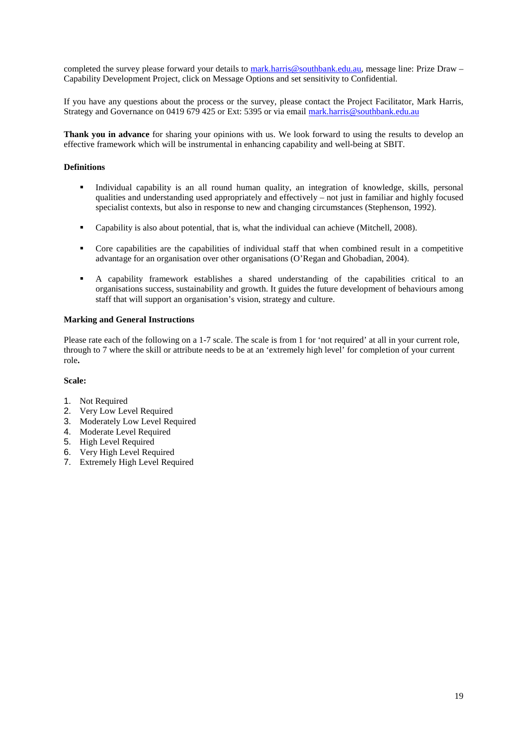completed the survey please forward your details to mark.harris@southbank.edu.au, message line: Prize Draw – Capability Development Project, click on Message Options and set sensitivity to Confidential.

If you have any questions about the process or the survey, please contact the Project Facilitator, Mark Harris, Strategy and Governance on 0419 679 425 or Ext: 5395 or via email mark.harris@southbank.edu.au

**Thank you in advance** for sharing your opinions with us. We look forward to using the results to develop an effective framework which will be instrumental in enhancing capability and well-being at SBIT.

#### **Definitions**

- Individual capability is an all round human quality, an integration of knowledge, skills, personal qualities and understanding used appropriately and effectively – not just in familiar and highly focused specialist contexts, but also in response to new and changing circumstances (Stephenson, 1992).
- Capability is also about potential, that is, what the individual can achieve (Mitchell, 2008).
- Core capabilities are the capabilities of individual staff that when combined result in a competitive advantage for an organisation over other organisations (O'Regan and Ghobadian, 2004).
- A capability framework establishes a shared understanding of the capabilities critical to an organisations success, sustainability and growth. It guides the future development of behaviours among staff that will support an organisation's vision, strategy and culture.

#### **Marking and General Instructions**

Please rate each of the following on a 1-7 scale. The scale is from 1 for 'not required' at all in your current role, through to 7 where the skill or attribute needs to be at an 'extremely high level' for completion of your current role**.** 

#### **Scale:**

- 1. Not Required
- 2. Very Low Level Required
- 3. Moderately Low Level Required
- 4. Moderate Level Required
- 5. High Level Required
- 6. Very High Level Required
- 7. Extremely High Level Required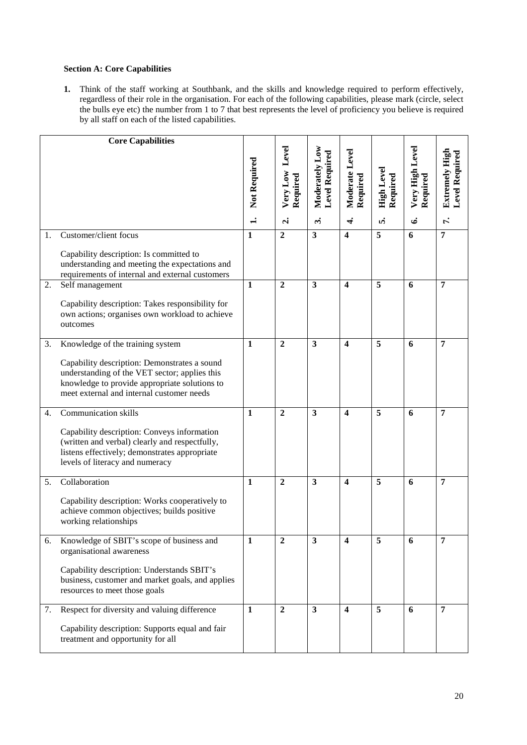### **Section A: Core Capabilities**

**1.** Think of the staff working at Southbank, and the skills and knowledge required to perform effectively, regardless of their role in the organisation. For each of the following capabilities, please mark (circle, select the bulls eye etc) the number from 1 to 7 that best represents the level of proficiency you believe is required by all staff on each of the listed capabilities.

|    | <b>Core Capabilities</b>                                                         |              |                      |                                  |                         |                        |                 |                                  |
|----|----------------------------------------------------------------------------------|--------------|----------------------|----------------------------------|-------------------------|------------------------|-----------------|----------------------------------|
|    |                                                                                  |              | Level                | Moderately Low<br>Level Required | Moderate Level          |                        | Very High Level | Extremely High<br>Level Required |
|    |                                                                                  |              |                      |                                  |                         |                        |                 |                                  |
|    |                                                                                  |              |                      |                                  |                         |                        |                 |                                  |
|    |                                                                                  | Not Required | Very Low<br>Required |                                  | Required                | High Level<br>Required | Required        |                                  |
|    |                                                                                  |              |                      |                                  |                         |                        |                 |                                  |
|    |                                                                                  | $\ddot{ }$   | $\mathbf{d}$         | $\ddot{ }$                       | $\vec{r}$               | ທ່                     | ق               | r.                               |
| 1. | Customer/client focus                                                            | $\mathbf{1}$ | $\overline{2}$       | $\overline{\mathbf{3}}$          | $\overline{\mathbf{4}}$ | 5                      | 6               | $\overline{7}$                   |
|    | Capability description: Is committed to                                          |              |                      |                                  |                         |                        |                 |                                  |
|    | understanding and meeting the expectations and                                   |              |                      |                                  |                         |                        |                 |                                  |
| 2. | requirements of internal and external customers                                  | $\mathbf{1}$ | $\overline{2}$       | $\overline{\mathbf{3}}$          | $\boldsymbol{4}$        | 5                      | 6               | $\overline{7}$                   |
|    | Self management                                                                  |              |                      |                                  |                         |                        |                 |                                  |
|    | Capability description: Takes responsibility for                                 |              |                      |                                  |                         |                        |                 |                                  |
|    | own actions; organises own workload to achieve                                   |              |                      |                                  |                         |                        |                 |                                  |
|    | outcomes                                                                         |              |                      |                                  |                         |                        |                 |                                  |
| 3. | Knowledge of the training system                                                 | $\mathbf{1}$ | $\overline{2}$       | $\overline{\mathbf{3}}$          | $\overline{\mathbf{4}}$ | 5                      | 6               | $\overline{7}$                   |
|    | Capability description: Demonstrates a sound                                     |              |                      |                                  |                         |                        |                 |                                  |
|    | understanding of the VET sector; applies this                                    |              |                      |                                  |                         |                        |                 |                                  |
|    | knowledge to provide appropriate solutions to                                    |              |                      |                                  |                         |                        |                 |                                  |
|    | meet external and internal customer needs                                        |              |                      |                                  |                         |                        |                 |                                  |
| 4. | <b>Communication skills</b>                                                      | 1            | $\overline{2}$       | $\overline{\mathbf{3}}$          | $\overline{\mathbf{4}}$ | 5                      | 6               | 7                                |
|    | Capability description: Conveys information                                      |              |                      |                                  |                         |                        |                 |                                  |
|    | (written and verbal) clearly and respectfully,                                   |              |                      |                                  |                         |                        |                 |                                  |
|    | listens effectively; demonstrates appropriate<br>levels of literacy and numeracy |              |                      |                                  |                         |                        |                 |                                  |
|    |                                                                                  |              |                      |                                  |                         |                        |                 |                                  |
| 5. | Collaboration                                                                    | $\mathbf{1}$ | $\overline{2}$       | $\mathbf{3}$                     | $\overline{\mathbf{4}}$ | 5                      | 6               | 7                                |
|    | Capability description: Works cooperatively to                                   |              |                      |                                  |                         |                        |                 |                                  |
|    | achieve common objectives; builds positive                                       |              |                      |                                  |                         |                        |                 |                                  |
|    | working relationships                                                            |              |                      |                                  |                         |                        |                 |                                  |
| 6. | Knowledge of SBIT's scope of business and                                        | $\mathbf{1}$ | $\boldsymbol{2}$     | $\mathbf{3}$                     | $\overline{\mathbf{4}}$ | 5                      | 6               | 7                                |
|    | organisational awareness                                                         |              |                      |                                  |                         |                        |                 |                                  |
|    | Capability description: Understands SBIT's                                       |              |                      |                                  |                         |                        |                 |                                  |
|    | business, customer and market goals, and applies                                 |              |                      |                                  |                         |                        |                 |                                  |
|    | resources to meet those goals                                                    |              |                      |                                  |                         |                        |                 |                                  |
| 7. | Respect for diversity and valuing difference                                     | $\mathbf{1}$ | $\overline{2}$       | $\overline{\mathbf{3}}$          | $\overline{\mathbf{4}}$ | 5                      | 6               | $\overline{7}$                   |
|    | Capability description: Supports equal and fair                                  |              |                      |                                  |                         |                        |                 |                                  |
|    | treatment and opportunity for all                                                |              |                      |                                  |                         |                        |                 |                                  |
|    |                                                                                  |              |                      |                                  |                         |                        |                 |                                  |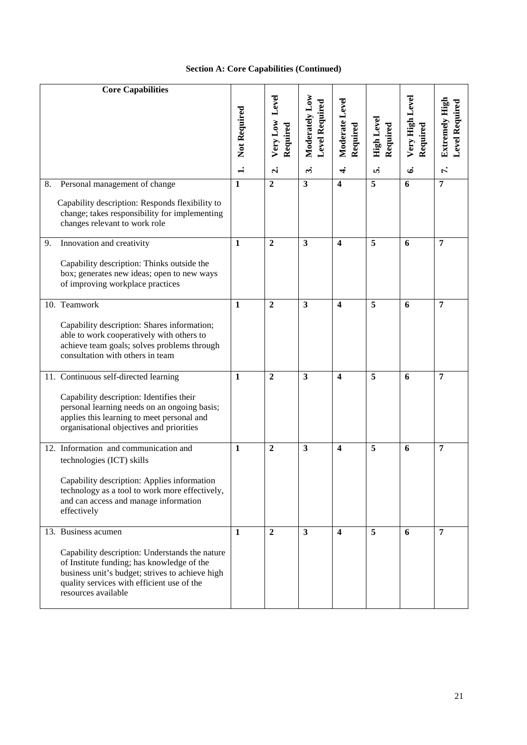## **Section A: Core Capabilities (Continued)**

| <b>Core Capabilities</b>                                                                                                                                                                                                                    |              |                               |                                  |                            |                               |                             |                                         |
|---------------------------------------------------------------------------------------------------------------------------------------------------------------------------------------------------------------------------------------------|--------------|-------------------------------|----------------------------------|----------------------------|-------------------------------|-----------------------------|-----------------------------------------|
|                                                                                                                                                                                                                                             | Not Required | Level<br>Very Low<br>Required | Moderately Low<br>Level Required | Moderate Level<br>Required | <b>High Level</b><br>Required | Very High Level<br>Required | <b>Extremely High</b><br>Level Required |
|                                                                                                                                                                                                                                             |              | $\mathbf{a}$                  | $\ddot{\phantom{a}}$             | $\vec{r}$                  | ທ່                            | ق                           | $\vec{r}$                               |
| Personal management of change<br>8.<br>Capability description: Responds flexibility to<br>change; takes responsibility for implementing<br>changes relevant to work role                                                                    | $\mathbf{1}$ | $\overline{2}$                | $\mathbf{3}$                     | $\overline{\mathbf{4}}$    | 5                             | 6                           | 7                                       |
| Innovation and creativity<br>9.<br>Capability description: Thinks outside the<br>box; generates new ideas; open to new ways<br>of improving workplace practices                                                                             | $\mathbf{1}$ | $\boldsymbol{2}$              | 3                                | 4                          | 5                             | 6                           | 7                                       |
| 10. Teamwork<br>Capability description: Shares information;<br>able to work cooperatively with others to<br>achieve team goals; solves problems through<br>consultation with others in team                                                 | $\mathbf{1}$ | $\overline{2}$                | $\overline{\mathbf{3}}$          | $\overline{\mathbf{4}}$    | 5                             | 6                           | 7                                       |
| 11. Continuous self-directed learning<br>Capability description: Identifies their<br>personal learning needs on an ongoing basis;<br>applies this learning to meet personal and<br>organisational objectives and priorities                 | $\mathbf{1}$ | $\boldsymbol{2}$              | $\mathbf{3}$                     | $\overline{\mathbf{4}}$    | 5                             | 6                           | 7                                       |
| 12. Information and communication and<br>technologies (ICT) skills<br>Capability description: Applies information<br>technology as a tool to work more effectively,<br>and can access and manage information<br>effectively                 | $\mathbf{1}$ | $\overline{2}$                | 3                                | 4                          | 5                             | 6                           | $\overline{7}$                          |
| 13. Business acumen<br>Capability description: Understands the nature<br>of Institute funding; has knowledge of the<br>business unit's budget; strives to achieve high<br>quality services with efficient use of the<br>resources available | $\mathbf{1}$ | $\overline{2}$                | $\mathbf{3}$                     | $\overline{\mathbf{4}}$    | 5                             | 6                           | $\overline{7}$                          |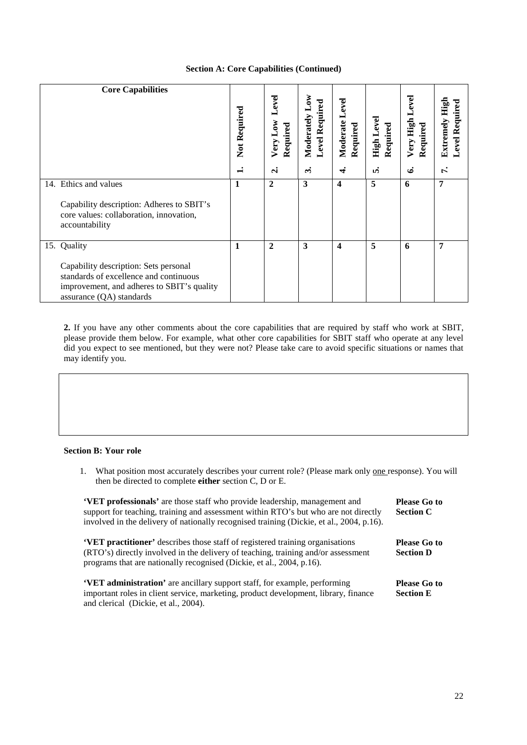### **Section A: Core Capabilities (Continued)**

| <b>Core Capabilities</b>                                                                                                                                                 | Not Required<br>⊣ | Level<br>Very Low<br>Required<br>$\mathbf{a}$ | δŇ<br><b>Level Required</b><br>Moderately<br><u>ന്</u> | Level<br>Moderate<br>Required<br>र्च | <b>Level</b><br>Required<br>High L<br>ທ່ | Level<br>Very High<br>Required<br>ئى | High<br>Required<br>Extremely<br>Level<br>Ŀ, |
|--------------------------------------------------------------------------------------------------------------------------------------------------------------------------|-------------------|-----------------------------------------------|--------------------------------------------------------|--------------------------------------|------------------------------------------|--------------------------------------|----------------------------------------------|
| 14. Ethics and values<br>Capability description: Adheres to SBIT's<br>core values: collaboration, innovation,<br>accountability                                          | 1                 | $\mathbf{2}$                                  | 3                                                      | 4                                    | 5                                        | 6                                    | 7                                            |
| 15. Quality<br>Capability description: Sets personal<br>standards of excellence and continuous<br>improvement, and adheres to SBIT's quality<br>assurance (QA) standards | $\mathbf{1}$      | $\overline{2}$                                | 3                                                      | 4                                    | 5                                        | 6                                    | 7                                            |

**2.** If you have any other comments about the core capabilities that are required by staff who work at SBIT, please provide them below. For example, what other core capabilities for SBIT staff who operate at any level did you expect to see mentioned, but they were not? Please take care to avoid specific situations or names that may identify you.

### **Section B: Your role**

1. What position most accurately describes your current role? (Please mark only one response). You will then be directed to complete **either** section C, D or E.

| 'VET professionals' are those staff who provide leadership, management and<br>support for teaching, training and assessment within RTO's but who are not directly<br>involved in the delivery of nationally recognised training (Dickie, et al., 2004, p.16). | <b>Please Go to</b><br><b>Section C</b> |
|---------------------------------------------------------------------------------------------------------------------------------------------------------------------------------------------------------------------------------------------------------------|-----------------------------------------|
| <b>VET practitioner'</b> describes those staff of registered training organisations<br>(RTO's) directly involved in the delivery of teaching, training and/or assessment<br>programs that are nationally recognised (Dickie, et al., 2004, p.16).             | <b>Please Go to</b><br><b>Section D</b> |
| <b>VET administration'</b> are ancillary support staff, for example, performing<br>important roles in client service, marketing, product development, library, finance<br>and clerical (Dickie, et al., 2004).                                                | Please Go to<br><b>Section E</b>        |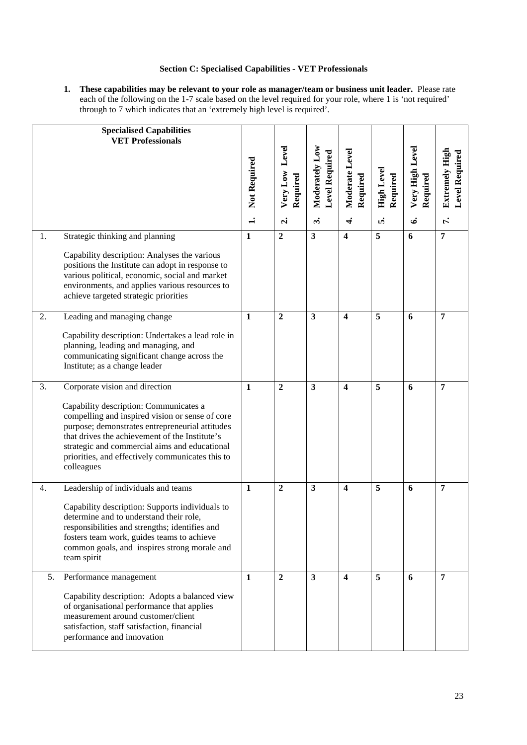### **Section C: Specialised Capabilities - VET Professionals**

**1. These capabilities may be relevant to your role as manager/team or business unit leader.** Please rate each of the following on the 1-7 scale based on the level required for your role, where 1 is 'not required' through to 7 which indicates that an 'extremely high level is required'.

|    | <b>Specialised Capabilities</b><br><b>VET Professionals</b>                                                                                                                                                                                                                                                                                         | Not Required<br>$\div$ | Level<br>Very Low<br>Required<br>$\dot{\mathbf{c}}$ | Moderately Low<br><b>Level Required</b><br>$\ddot{ }$ | Moderate Level<br>Required<br>$\vec{r}$ | <b>High Level</b><br>Required<br>ທ່ | Very High Level<br>Required<br>Ġ. | Extremely High<br><b>Level Required</b><br>r. |
|----|-----------------------------------------------------------------------------------------------------------------------------------------------------------------------------------------------------------------------------------------------------------------------------------------------------------------------------------------------------|------------------------|-----------------------------------------------------|-------------------------------------------------------|-----------------------------------------|-------------------------------------|-----------------------------------|-----------------------------------------------|
| 1. | Strategic thinking and planning<br>Capability description: Analyses the various<br>positions the Institute can adopt in response to<br>various political, economic, social and market<br>environments, and applies various resources to<br>achieve targeted strategic priorities                                                                    | $\mathbf{1}$           | $\overline{2}$                                      | 3                                                     | $\boldsymbol{4}$                        | 5                                   | 6                                 | $\overline{7}$                                |
| 2. | Leading and managing change<br>Capability description: Undertakes a lead role in<br>planning, leading and managing, and<br>communicating significant change across the<br>Institute; as a change leader                                                                                                                                             | $\mathbf{1}$           | $\overline{2}$                                      | $\overline{\mathbf{3}}$                               | $\overline{\mathbf{4}}$                 | 5                                   | 6                                 | $\overline{7}$                                |
| 3. | Corporate vision and direction<br>Capability description: Communicates a<br>compelling and inspired vision or sense of core<br>purpose; demonstrates entrepreneurial attitudes<br>that drives the achievement of the Institute's<br>strategic and commercial aims and educational<br>priorities, and effectively communicates this to<br>colleagues | $\mathbf{1}$           | $\overline{2}$                                      | 3                                                     | $\overline{\mathbf{4}}$                 | 5                                   | 6                                 | $\overline{7}$                                |
| 4. | Leadership of individuals and teams<br>Capability description: Supports individuals to<br>determine and to understand their role.<br>responsibilities and strengths; identifies and<br>fosters team work, guides teams to achieve<br>common goals, and inspires strong morale and<br>team spirit                                                    | $\mathbf{1}$           | $\overline{2}$                                      | 3                                                     | $\overline{\mathbf{4}}$                 | 5                                   | 6                                 | $\overline{7}$                                |
| 5. | Performance management<br>Capability description: Adopts a balanced view<br>of organisational performance that applies<br>measurement around customer/client<br>satisfaction, staff satisfaction, financial<br>performance and innovation                                                                                                           | 1                      | $\overline{2}$                                      | 3                                                     | 4                                       | 5                                   | 6                                 | $\overline{7}$                                |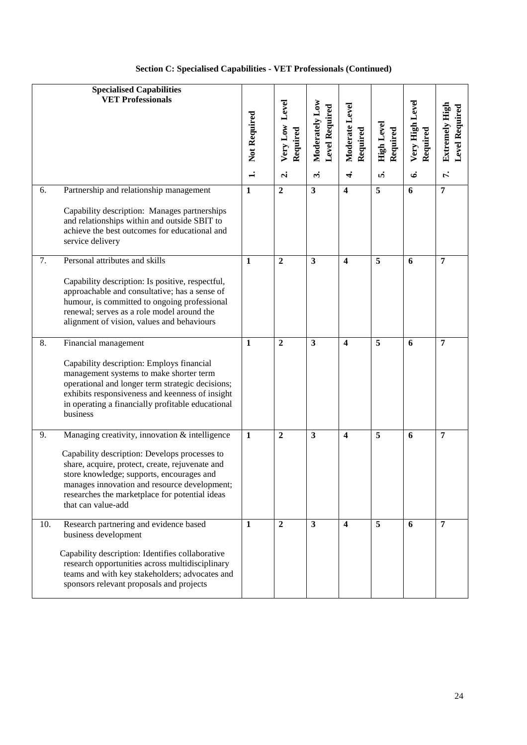|  | <b>Section C: Specialised Capabilities - VET Professionals (Continued)</b> |  |  |  |
|--|----------------------------------------------------------------------------|--|--|--|
|--|----------------------------------------------------------------------------|--|--|--|

|     | <b>Specialised Capabilities</b><br><b>VET Professionals</b>                                                                                                                                                                                                                                                             | Not Required<br>$\div$ | Very Low Level<br>Required<br>$\mathbf{a}$ | Moderately Low<br>Level Required<br>$\ddot{\phantom{a}}$ | Moderate Level<br>Required<br>$\vec{r}$ | High Level<br>Required<br>ທ່ | Very High Level<br>Required<br>ق | Extremely High<br>Level Required<br>$\mathbf{r}$ |
|-----|-------------------------------------------------------------------------------------------------------------------------------------------------------------------------------------------------------------------------------------------------------------------------------------------------------------------------|------------------------|--------------------------------------------|----------------------------------------------------------|-----------------------------------------|------------------------------|----------------------------------|--------------------------------------------------|
| 6.  | Partnership and relationship management<br>Capability description: Manages partnerships<br>and relationships within and outside SBIT to<br>achieve the best outcomes for educational and<br>service delivery                                                                                                            | $\mathbf{1}$           | $\overline{2}$                             | $\overline{\mathbf{3}}$                                  | $\overline{\mathbf{4}}$                 | 5                            | 6                                | $\overline{7}$                                   |
| 7.  | Personal attributes and skills<br>Capability description: Is positive, respectful,<br>approachable and consultative; has a sense of<br>humour, is committed to ongoing professional<br>renewal; serves as a role model around the<br>alignment of vision, values and behaviours                                         | $\mathbf{1}$           | $\overline{2}$                             | $\mathbf{3}$                                             | $\overline{\mathbf{4}}$                 | 5                            | 6                                | 7                                                |
| 8.  | Financial management<br>Capability description: Employs financial<br>management systems to make shorter term<br>operational and longer term strategic decisions;<br>exhibits responsiveness and keenness of insight<br>in operating a financially profitable educational<br>business                                    | $\mathbf{1}$           | $\overline{2}$                             | 3                                                        | $\overline{\mathbf{4}}$                 | 5                            | 6                                | 7                                                |
| 9.  | Managing creativity, innovation & intelligence<br>Capability description: Develops processes to<br>share, acquire, protect, create, rejuvenate and<br>store knowledge; supports, encourages and<br>manages innovation and resource development;<br>researches the marketplace for potential ideas<br>that can value-add | $\mathbf{1}$           | $\overline{2}$                             | $\mathbf{3}$                                             | $\overline{\mathbf{4}}$                 | 5                            | 6                                | $\overline{7}$                                   |
| 10. | Research partnering and evidence based<br>business development<br>Capability description: Identifies collaborative<br>research opportunities across multidisciplinary<br>teams and with key stakeholders; advocates and<br>sponsors relevant proposals and projects                                                     | $\mathbf{1}$           | $\overline{2}$                             | $\mathbf{3}$                                             | $\overline{\mathbf{4}}$                 | 5                            | 6                                | 7                                                |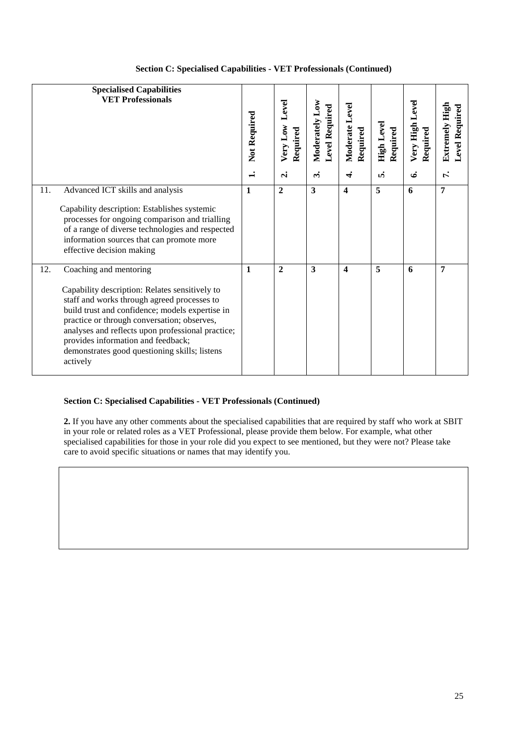|  | <b>Section C: Specialised Capabilities - VET Professionals (Continued)</b> |  |
|--|----------------------------------------------------------------------------|--|
|  |                                                                            |  |

| <b>Specialised Capabilities</b><br><b>VET Professionals</b>                                                                                                                                                                                                                                                                                                                              | Not Required | Level<br>Very Low<br>Required<br>$\mathbf{d}$ | Moderately Low<br><b>Level Required</b><br>$\ddot{\mathbf{c}}$ | Moderate Level<br>Required<br>₹ | High Level<br>Required<br>n, | Very High Level<br>Required<br>ق | <b>Level Required</b><br>Extremely High<br>ŕ. |
|------------------------------------------------------------------------------------------------------------------------------------------------------------------------------------------------------------------------------------------------------------------------------------------------------------------------------------------------------------------------------------------|--------------|-----------------------------------------------|----------------------------------------------------------------|---------------------------------|------------------------------|----------------------------------|-----------------------------------------------|
| 11.<br>Advanced ICT skills and analysis<br>Capability description: Establishes systemic<br>processes for ongoing comparison and trialling<br>of a range of diverse technologies and respected<br>information sources that can promote more<br>effective decision making                                                                                                                  | 1            | $\overline{2}$                                | $\overline{\mathbf{3}}$                                        | $\overline{\mathbf{4}}$         | 5                            | 6                                | 7                                             |
| Coaching and mentoring<br>12.<br>Capability description: Relates sensitively to<br>staff and works through agreed processes to<br>build trust and confidence; models expertise in<br>practice or through conversation; observes,<br>analyses and reflects upon professional practice;<br>provides information and feedback;<br>demonstrates good questioning skills; listens<br>actively | 1            | $\overline{2}$                                | 3                                                              | $\overline{\mathbf{4}}$         | 5                            | 6                                | 7                                             |

### **Section C: Specialised Capabilities - VET Professionals (Continued)**

**2.** If you have any other comments about the specialised capabilities that are required by staff who work at SBIT in your role or related roles as a VET Professional, please provide them below. For example, what other specialised capabilities for those in your role did you expect to see mentioned, but they were not? Please take care to avoid specific situations or names that may identify you.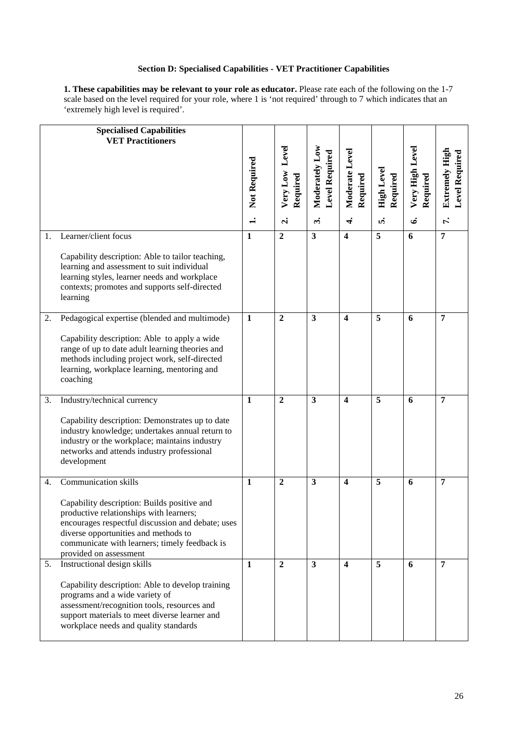### **Section D: Specialised Capabilities - VET Practitioner Capabilities**

**1. These capabilities may be relevant to your role as educator.** Please rate each of the following on the 1-7 scale based on the level required for your role, where 1 is 'not required' through to 7 which indicates that an 'extremely high level is required'.

|    | <b>Specialised Capabilities</b><br><b>VET Practitioners</b>                                                                                                                                                                                                                                   | Not Required<br>$\div$ | Level<br>Very Low<br>Required<br>$\dot{\mathbf{c}}$ | Moderately Low<br><b>Level Required</b><br>$\ddot{ }$ | Moderate Level<br>Required<br>$\vec{+}$ | High Level<br>Required<br>ທ່ | Very High Level<br>Required<br>ق | Extremely High<br><b>Level Required</b><br>ŕ. |
|----|-----------------------------------------------------------------------------------------------------------------------------------------------------------------------------------------------------------------------------------------------------------------------------------------------|------------------------|-----------------------------------------------------|-------------------------------------------------------|-----------------------------------------|------------------------------|----------------------------------|-----------------------------------------------|
| 1. | Learner/client focus<br>Capability description: Able to tailor teaching,<br>learning and assessment to suit individual<br>learning styles, learner needs and workplace<br>contexts; promotes and supports self-directed<br>learning                                                           | 1                      | $\boldsymbol{2}$                                    | $\mathbf{3}$                                          | 4                                       | 5                            | 6                                | $\overline{7}$                                |
| 2. | Pedagogical expertise (blended and multimode)<br>Capability description: Able to apply a wide<br>range of up to date adult learning theories and<br>methods including project work, self-directed<br>learning, workplace learning, mentoring and<br>coaching                                  | $\mathbf{1}$           | $\overline{2}$                                      | $\overline{\mathbf{3}}$                               | $\overline{\mathbf{4}}$                 | 5                            | 6                                | 7                                             |
| 3. | Industry/technical currency<br>Capability description: Demonstrates up to date<br>industry knowledge; undertakes annual return to<br>industry or the workplace; maintains industry<br>networks and attends industry professional<br>development                                               | $\mathbf{1}$           | $\boldsymbol{2}$                                    | $\mathbf{3}$                                          | 4                                       | 5                            | 6                                | 7                                             |
| 4. | <b>Communication skills</b><br>Capability description: Builds positive and<br>productive relationships with learners;<br>encourages respectful discussion and debate; uses<br>diverse opportunities and methods to<br>communicate with learners; timely feedback is<br>provided on assessment | $\mathbf{1}$           | $\mathbf{2}$                                        | 3                                                     | 4                                       | 5                            | 6                                | 7                                             |
| 5. | Instructional design skills<br>Capability description: Able to develop training<br>programs and a wide variety of<br>assessment/recognition tools, resources and<br>support materials to meet diverse learner and<br>workplace needs and quality standards                                    | $\mathbf{1}$           | $\overline{2}$                                      | $\mathbf{3}$                                          | $\overline{\mathbf{4}}$                 | 5                            | 6                                | 7                                             |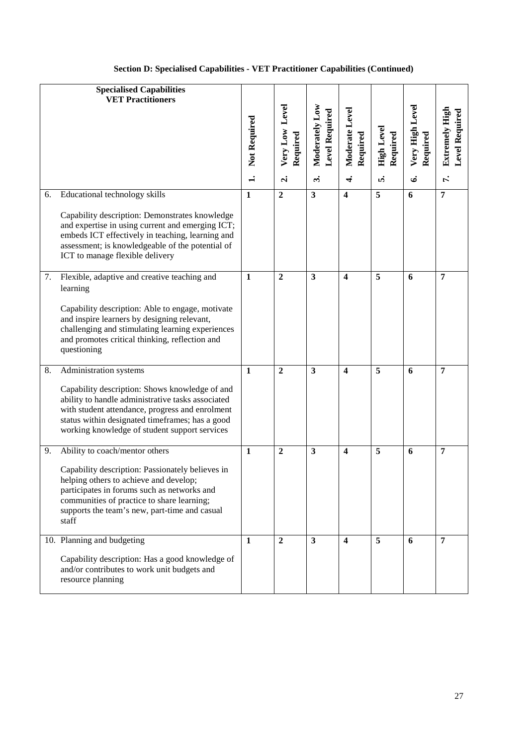|    | <b>Specialised Capabilities</b><br><b>VET Practitioners</b>                                                                                                                                                                                                                          | Not Required | Very Low Level<br>Required | Moderately Low<br><b>Level Required</b> | Moderate Level<br>Required | <b>High Level</b><br>Required | Very High Level<br>Required | Extremely High<br><b>Level Required</b> |
|----|--------------------------------------------------------------------------------------------------------------------------------------------------------------------------------------------------------------------------------------------------------------------------------------|--------------|----------------------------|-----------------------------------------|----------------------------|-------------------------------|-----------------------------|-----------------------------------------|
|    |                                                                                                                                                                                                                                                                                      | $\ddot{ }$   | $\dot{\mathbf{c}}$         | $\ddot{ }$                              | $\vec{r}$                  | ທໍ                            | ق                           | r.                                      |
| 6. | Educational technology skills<br>Capability description: Demonstrates knowledge<br>and expertise in using current and emerging ICT;<br>embeds ICT effectively in teaching, learning and<br>assessment; is knowledgeable of the potential of<br>ICT to manage flexible delivery       | $\mathbf{1}$ | $\overline{2}$             | $\overline{\mathbf{3}}$                 | $\overline{\mathbf{4}}$    | 5                             | 6                           | $\overline{7}$                          |
| 7. | Flexible, adaptive and creative teaching and<br>learning<br>Capability description: Able to engage, motivate<br>and inspire learners by designing relevant,<br>challenging and stimulating learning experiences<br>and promotes critical thinking, reflection and<br>questioning     | $\mathbf{1}$ | $\overline{2}$             | $\overline{\mathbf{3}}$                 | $\overline{\mathbf{4}}$    | $\overline{5}$                | 6                           | $\overline{7}$                          |
| 8. | Administration systems<br>Capability description: Shows knowledge of and<br>ability to handle administrative tasks associated<br>with student attendance, progress and enrolment<br>status within designated timeframes; has a good<br>working knowledge of student support services | 1            | $\boldsymbol{2}$           | $\mathbf{3}$                            | 4                          | 5                             | 6                           | 7                                       |
| 9. | Ability to coach/mentor others<br>Capability description: Passionately believes in<br>helping others to achieve and develop;<br>participates in forums such as networks and<br>communities of practice to share learning;<br>supports the team's new, part-time and casual<br>staff  | $\mathbf{1}$ | $\boldsymbol{2}$           | $\mathbf{3}$                            | $\boldsymbol{4}$           | 5                             | 6                           | 7                                       |
|    | 10. Planning and budgeting<br>Capability description: Has a good knowledge of<br>and/or contributes to work unit budgets and<br>resource planning                                                                                                                                    | 1            | $\overline{2}$             | 3                                       | 4                          | 5                             | 6                           | $\overline{7}$                          |

## **Section D: Specialised Capabilities - VET Practitioner Capabilities (Continued)**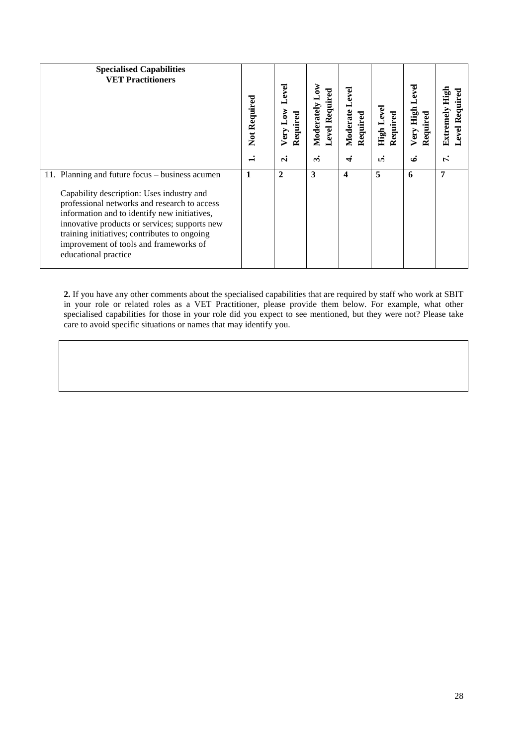| <b>Specialised Capabilities</b><br><b>VET Practitioners</b>                                                                                                                                                                                                                                                                                                     | Not Required   | Level<br>Very Low<br>Required | Moderately Low<br>Level Required | Level<br>Moderate<br>Required | <b>High Level</b><br>Required | eve<br>Very High<br>Required | High<br>Required<br>Extremely<br>Level. |
|-----------------------------------------------------------------------------------------------------------------------------------------------------------------------------------------------------------------------------------------------------------------------------------------------------------------------------------------------------------------|----------------|-------------------------------|----------------------------------|-------------------------------|-------------------------------|------------------------------|-----------------------------------------|
|                                                                                                                                                                                                                                                                                                                                                                 | $\blacksquare$ | $\dot{\mathbf{c}}$            | $\ddot{\bm{\epsilon}}$           | F                             | ທ່                            | ئى                           | Ŀ,                                      |
| 11. Planning and future focus – business acumen<br>Capability description: Uses industry and<br>professional networks and research to access<br>information and to identify new initiatives,<br>innovative products or services; supports new<br>training initiatives; contributes to ongoing<br>improvement of tools and frameworks of<br>educational practice | 1              | $\mathbf{2}$                  | 3                                | 4                             | 5                             | 6                            | 7                                       |

**2.** If you have any other comments about the specialised capabilities that are required by staff who work at SBIT in your role or related roles as a VET Practitioner, please provide them below. For example, what other specialised capabilities for those in your role did you expect to see mentioned, but they were not? Please take care to avoid specific situations or names that may identify you.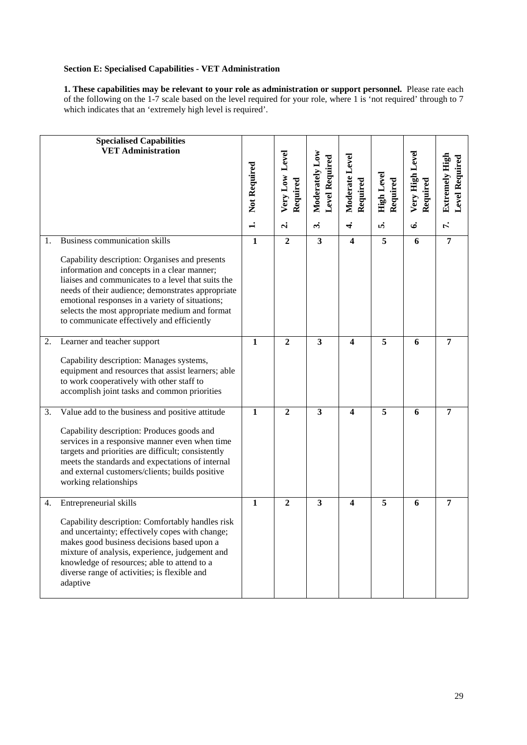### **Section E: Specialised Capabilities - VET Administration**

**1. These capabilities may be relevant to your role as administration or support personnel.** Please rate each of the following on the 1-7 scale based on the level required for your role, where 1 is 'not required' through to 7 which indicates that an 'extremely high level is required'.

|          | <b>Specialised Capabilities</b><br><b>VET Administration</b>                                                                                                                                                                                                                                                                                                                                                                       | Not Required<br>$\div$         | Very Low Level<br>Required<br>$\dot{\mathbf{r}}$ | Moderately Low<br><b>Level Required</b><br>$\ddot{\mathbf{c}}$ | Moderate Level<br>Required<br>$\vec{r}$            | <b>High Level</b><br>Required<br>ທໍ | Very High Level<br>Required<br>ی | <b>Extremely High</b><br>Level Required<br>$\mathbf{r}$ |
|----------|------------------------------------------------------------------------------------------------------------------------------------------------------------------------------------------------------------------------------------------------------------------------------------------------------------------------------------------------------------------------------------------------------------------------------------|--------------------------------|--------------------------------------------------|----------------------------------------------------------------|----------------------------------------------------|-------------------------------------|----------------------------------|---------------------------------------------------------|
| 1.<br>2. | <b>Business communication skills</b><br>Capability description: Organises and presents<br>information and concepts in a clear manner;<br>liaises and communicates to a level that suits the<br>needs of their audience; demonstrates appropriate<br>emotional responses in a variety of situations;<br>selects the most appropriate medium and format<br>to communicate effectively and efficiently<br>Learner and teacher support | $\overline{1}$<br>$\mathbf{1}$ | $\overline{2}$<br>$\overline{2}$                 | $\overline{\mathbf{3}}$<br>$\mathbf{3}$                        | $\overline{\mathbf{4}}$<br>$\overline{\mathbf{4}}$ | 5<br>5                              | 6<br>6                           | $\overline{7}$<br>$\overline{7}$                        |
|          | Capability description: Manages systems,<br>equipment and resources that assist learners; able<br>to work cooperatively with other staff to<br>accomplish joint tasks and common priorities                                                                                                                                                                                                                                        |                                |                                                  |                                                                |                                                    |                                     |                                  |                                                         |
| 3.       | Value add to the business and positive attitude<br>Capability description: Produces goods and<br>services in a responsive manner even when time<br>targets and priorities are difficult; consistently<br>meets the standards and expectations of internal<br>and external customers/clients; builds positive<br>working relationships                                                                                              | $\mathbf{1}$                   | $\overline{2}$                                   | $\overline{\mathbf{3}}$                                        | $\overline{\mathbf{4}}$                            | 5                                   | 6                                | $\overline{7}$                                          |
| 4.       | Entrepreneurial skills<br>Capability description: Comfortably handles risk<br>and uncertainty; effectively copes with change;<br>makes good business decisions based upon a<br>mixture of analysis, experience, judgement and<br>knowledge of resources; able to attend to a<br>diverse range of activities; is flexible and<br>adaptive                                                                                           | $\mathbf{1}$                   | $\overline{2}$                                   | $\mathbf{3}$                                                   | $\overline{\mathbf{4}}$                            | 5                                   | 6                                | $\overline{7}$                                          |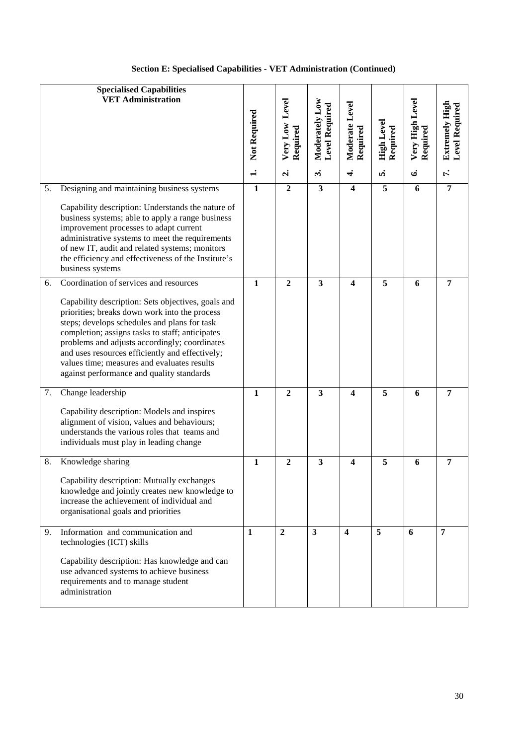|    | <b>Specialised Capabilities</b><br><b>VET Administration</b>                                                                                                                                                                                                                                                                                                                                                                                     | Not Required<br>$\div$ | Level<br>Very Low<br>Required<br>$\dot{\mathbf{c}}$ | Moderately Low<br><b>Level Required</b><br>$\ddot{\mathbf{c}}$ | Moderate Level<br>Required<br>$\div$ | High Level<br>Required<br>ທ່ | Very High Level<br>Required<br>ق | Level Required<br>Extremely High<br>Γ. |
|----|--------------------------------------------------------------------------------------------------------------------------------------------------------------------------------------------------------------------------------------------------------------------------------------------------------------------------------------------------------------------------------------------------------------------------------------------------|------------------------|-----------------------------------------------------|----------------------------------------------------------------|--------------------------------------|------------------------------|----------------------------------|----------------------------------------|
| 5. | Designing and maintaining business systems                                                                                                                                                                                                                                                                                                                                                                                                       | $\mathbf{1}$           | $\overline{2}$                                      | $\mathbf{3}$                                                   | $\overline{\mathbf{4}}$              | 5                            | 6                                | 7                                      |
|    | Capability description: Understands the nature of<br>business systems; able to apply a range business<br>improvement processes to adapt current<br>administrative systems to meet the requirements<br>of new IT, audit and related systems; monitors<br>the efficiency and effectiveness of the Institute's<br>business systems                                                                                                                  |                        |                                                     |                                                                |                                      |                              |                                  |                                        |
| 6. | Coordination of services and resources<br>Capability description: Sets objectives, goals and<br>priorities; breaks down work into the process<br>steps; develops schedules and plans for task<br>completion; assigns tasks to staff; anticipates<br>problems and adjusts accordingly; coordinates<br>and uses resources efficiently and effectively;<br>values time; measures and evaluates results<br>against performance and quality standards | $\mathbf{1}$           | $\overline{2}$                                      | 3                                                              | $\overline{\mathbf{4}}$              | 5                            | 6                                | 7                                      |
| 7. | Change leadership<br>Capability description: Models and inspires<br>alignment of vision, values and behaviours;<br>understands the various roles that teams and<br>individuals must play in leading change                                                                                                                                                                                                                                       | 1                      | $\mathbf{2}$                                        | 3                                                              | $\overline{\mathbf{4}}$              | 5                            | 6                                | 7                                      |
| 8. | Knowledge sharing<br>Capability description: Mutually exchanges<br>knowledge and jointly creates new knowledge to<br>increase the achievement of individual and<br>organisational goals and priorities                                                                                                                                                                                                                                           | $\mathbf{1}$           | 2                                                   | 3                                                              | 4                                    | 5                            | 6                                | 7                                      |
| 9. | Information and communication and<br>technologies (ICT) skills<br>Capability description: Has knowledge and can<br>use advanced systems to achieve business<br>requirements and to manage student<br>administration                                                                                                                                                                                                                              | $\mathbf{1}$           | $\mathbf{2}$                                        | $\overline{\mathbf{3}}$                                        | $\overline{\mathbf{4}}$              | 5                            | 6                                | $\overline{7}$                         |

# **Section E: Specialised Capabilities - VET Administration (Continued)**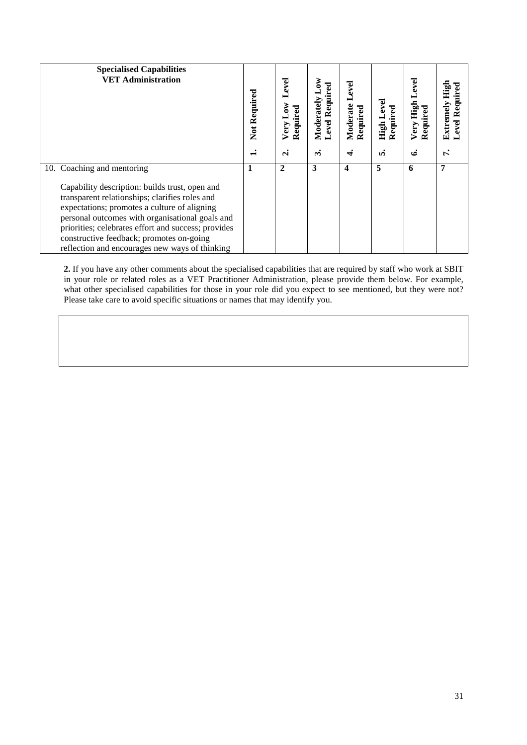| <b>Specialised Capabilities</b><br><b>VET Administration</b>                                                                                                                                                                                                                                                                                             | Not Required | Level<br>ð<br>Required<br>Very | ξ<br>Level Required<br>Moderately | Level<br>Moderate<br>Required | Level<br>Required<br>High | High<br>Required<br>Very | High<br>Level Required<br>Extremely |
|----------------------------------------------------------------------------------------------------------------------------------------------------------------------------------------------------------------------------------------------------------------------------------------------------------------------------------------------------------|--------------|--------------------------------|-----------------------------------|-------------------------------|---------------------------|--------------------------|-------------------------------------|
|                                                                                                                                                                                                                                                                                                                                                          |              | $\dot{\mathbf{c}}$             | $\ddot{\phantom{a}}$              | Æ                             | <b>v</b>                  | ئى                       | ŕ.                                  |
| 10. Coaching and mentoring                                                                                                                                                                                                                                                                                                                               | 1            | $\mathbf{2}$                   | 3                                 | 4                             | 5                         | 6                        | 7                                   |
| Capability description: builds trust, open and<br>transparent relationships; clarifies roles and<br>expectations; promotes a culture of aligning<br>personal outcomes with organisational goals and<br>priorities; celebrates effort and success; provides<br>constructive feedback; promotes on-going<br>reflection and encourages new ways of thinking |              |                                |                                   |                               |                           |                          |                                     |

**2.** If you have any other comments about the specialised capabilities that are required by staff who work at SBIT in your role or related roles as a VET Practitioner Administration, please provide them below. For example, what other specialised capabilities for those in your role did you expect to see mentioned, but they were not? Please take care to avoid specific situations or names that may identify you.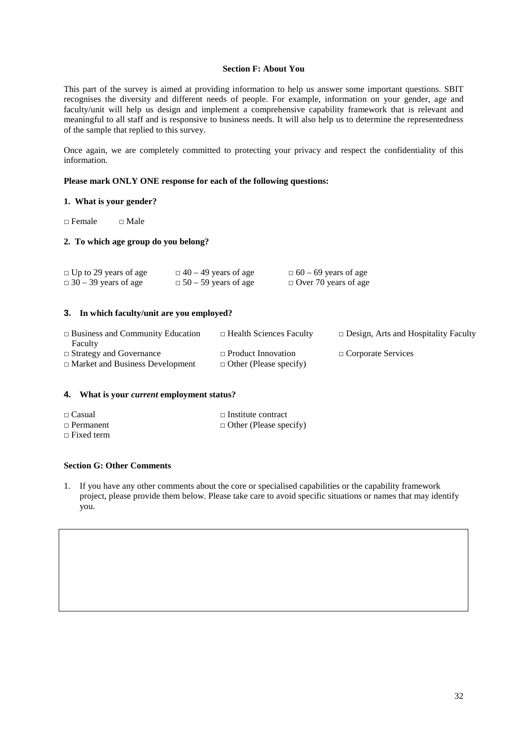#### **Section F: About You**

This part of the survey is aimed at providing information to help us answer some important questions. SBIT recognises the diversity and different needs of people. For example, information on your gender, age and faculty/unit will help us design and implement a comprehensive capability framework that is relevant and meaningful to all staff and is responsive to business needs. It will also help us to determine the representedness of the sample that replied to this survey.

Once again, we are completely committed to protecting your privacy and respect the confidentiality of this information.

#### **Please mark ONLY ONE response for each of the following questions:**

#### **1. What is your gender?**

 $\Box$  Female  $\Box$  Male

#### **2. To which age group do you belong?**

| $\Box$ Up to 29 years of age | $\Box$ 40 – 49 years of age | $\Box$ 60 – 69 years of age |
|------------------------------|-----------------------------|-----------------------------|
| $\Box$ 30 – 39 years of age  | $\Box$ 50 – 59 years of age | $\Box$ Over 70 years of age |

#### **3. In which faculty/unit are you employed?**

| $\Box$ Business and Community Education<br>Faculty | $\Box$ Health Sciences Faculty | $\Box$ Design, Arts and Hospitality Faculty |
|----------------------------------------------------|--------------------------------|---------------------------------------------|
| $\Box$ Strategy and Governance                     | $\Box$ Product Innovation      | $\Box$ Corporate Services                   |
| $\Box$ Market and Business Development             | $\Box$ Other (Please specify)  |                                             |

#### **4. What is your** *current* **employment status?**

| $\Box$ Casual     | $\Box$ Institute contract     |
|-------------------|-------------------------------|
| $\Box$ Permanent  | $\Box$ Other (Please specify) |
| $\Box$ Fixed term |                               |

### **Section G: Other Comments**

1. If you have any other comments about the core or specialised capabilities or the capability framework project, please provide them below. Please take care to avoid specific situations or names that may identify you.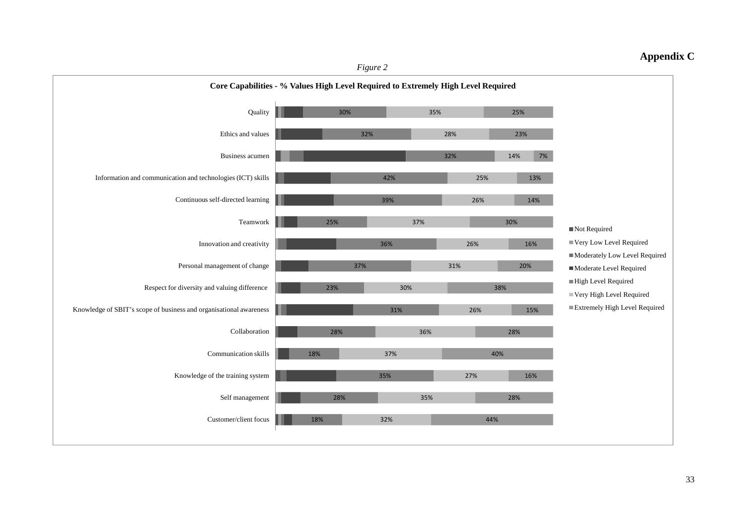### **Appendix C**

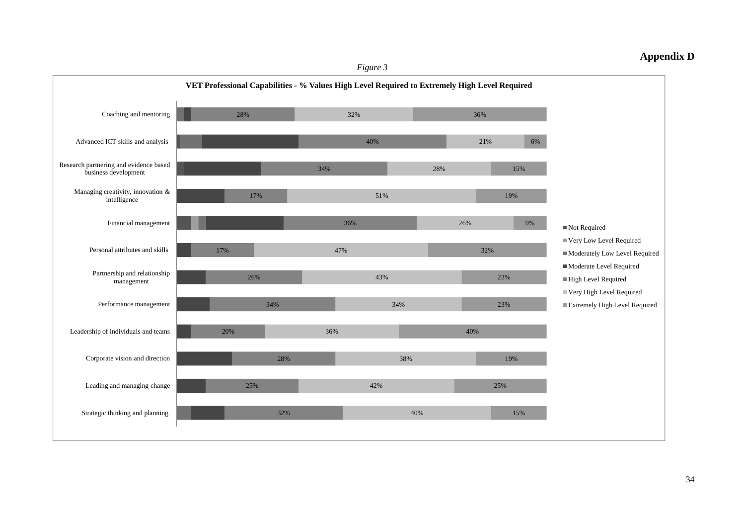### **Appendix D**

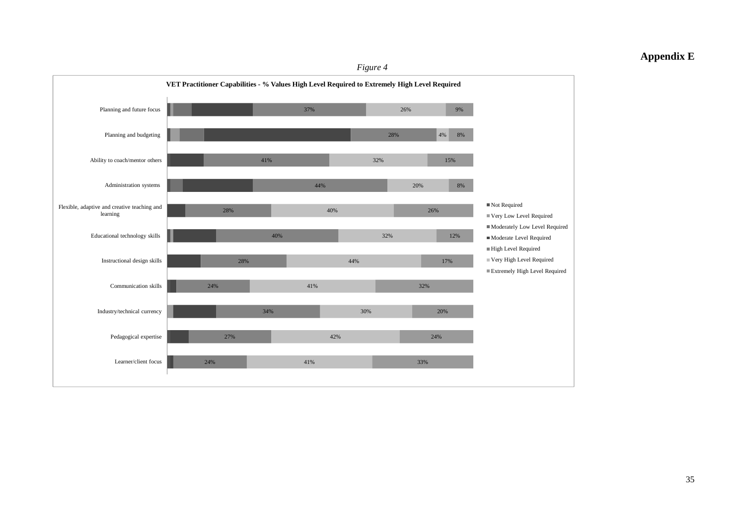## **Appendix E**

#### *Figure 4*

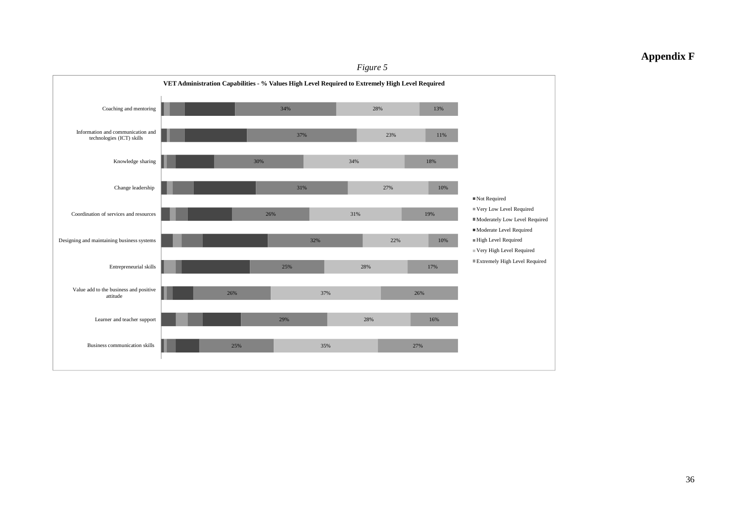### **Appendix F**

#### *Figure 5*

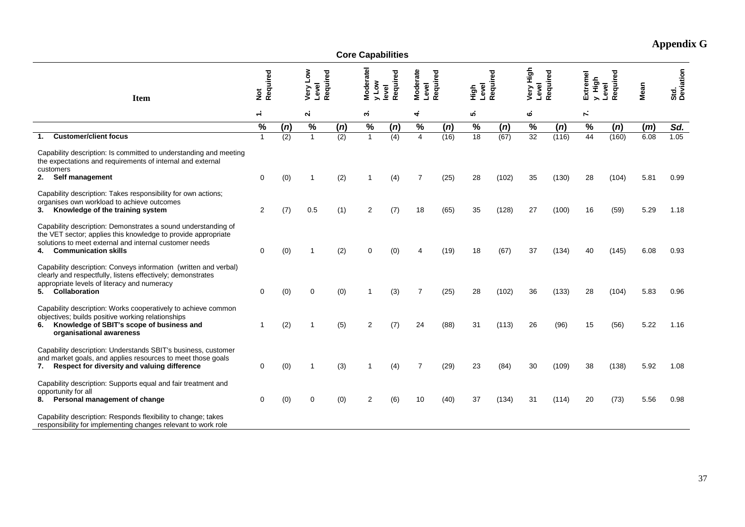| <b>Core Capabilities</b>                                                                                                                                                                                                      |                 |     |                   |          |                         |                  |                   |          |                  |          |                    |          |                 |                   |      |                   |
|-------------------------------------------------------------------------------------------------------------------------------------------------------------------------------------------------------------------------------|-----------------|-----|-------------------|----------|-------------------------|------------------|-------------------|----------|------------------|----------|--------------------|----------|-----------------|-------------------|------|-------------------|
| <b>Item</b>                                                                                                                                                                                                                   | Not<br>Required |     | Very Low<br>Level | Required | Moderatel<br><b>Nor</b> | Required<br>evel | Moderate<br>Level | Required | Level<br>6.<br>도 | Required | Very High<br>Level | Required | Extreme<br>High | Required<br>Level | Mean | Std.<br>Deviation |
|                                                                                                                                                                                                                               | $\div$          |     | $\mathbf{a}$      |          | Μ,                      |                  | 4                 |          | ທ່               |          | 6                  |          | ν.              |                   |      |                   |
|                                                                                                                                                                                                                               | $\%$            | (n) | $\%$              | (n)      | $\%$                    | (n)              | $\%$              | (n)      | $\%$             | (n)      | $\%$               | (n)      | $\%$            | (n)               | (m)  | Sd.               |
| <b>Customer/client focus</b>                                                                                                                                                                                                  | $\mathbf{1}$    | (2) | $\overline{1}$    | (2)      | $\mathbf{1}$            | (4)              | $\overline{4}$    | (16)     | $\overline{18}$  | (67)     | 32                 | (116)    | 44              | (160)             | 6.08 | 1.05              |
| Capability description: Is committed to understanding and meeting<br>the expectations and requirements of internal and external<br>customers                                                                                  |                 |     |                   |          |                         |                  |                   |          |                  |          |                    |          |                 |                   |      |                   |
| 2. Self management                                                                                                                                                                                                            | 0               | (0) | 1                 | (2)      |                         | (4)              | 7                 | (25)     | 28               | (102)    | 35                 | (130)    | 28              | (104)             | 5.81 | 0.99              |
| Capability description: Takes responsibility for own actions;<br>organises own workload to achieve outcomes<br>Knowledge of the training system<br>3.                                                                         | 2               | (7) | 0.5               | (1)      | 2                       | (7)              | 18                | (65)     | 35               | (128)    | 27                 | (100)    | 16              | (59)              | 5.29 | 1.18              |
| Capability description: Demonstrates a sound understanding of<br>the VET sector; applies this knowledge to provide appropriate<br>solutions to meet external and internal customer needs<br><b>Communication skills</b><br>4. | 0               | (0) | 1                 | (2)      | 0                       | (0)              |                   | (19)     | 18               | (67)     | 37                 | (134)    | 40              | (145)             | 6.08 | 0.93              |
| Capability description: Conveys information (written and verbal)<br>clearly and respectfully, listens effectively; demonstrates<br>appropriate levels of literacy and numeracy<br>5. Collaboration                            | 0               | (0) | 0                 | (0)      |                         | (3)              | $\overline{7}$    | (25)     | 28               | (102)    | 36                 | (133)    | 28              | (104)             | 5.83 | 0.96              |
| Capability description: Works cooperatively to achieve common<br>objectives; builds positive working relationships<br>Knowledge of SBIT's scope of business and<br>6.<br>organisational awareness                             | $\mathbf 1$     | (2) | -1                | (5)      | 2                       | (7)              | 24                | (88)     | 31               | (113)    | 26                 | (96)     | 15              | (56)              | 5.22 | 1.16              |
| Capability description: Understands SBIT's business, customer<br>and market goals, and applies resources to meet those goals<br>Respect for diversity and valuing difference<br>7.                                            | 0               | (0) | -1                | (3)      | 1                       | (4)              | $\overline{7}$    | (29)     | 23               | (84)     | 30                 | (109)    | 38              | (138)             | 5.92 | 1.08              |
| Capability description: Supports equal and fair treatment and<br>opportunity for all<br>Personal management of change<br>8.                                                                                                   | 0               | (0) | 0                 | (0)      | $\overline{2}$          | (6)              | 10                | (40)     | 37               | (134)    | 31                 | (114)    | 20              | (73)              | 5.56 | 0.98              |
| Capability description: Responds flexibility to change; takes<br>responsibility for implementing changes relevant to work role                                                                                                |                 |     |                   |          |                         |                  |                   |          |                  |          |                    |          |                 |                   |      |                   |

# **Appendix G**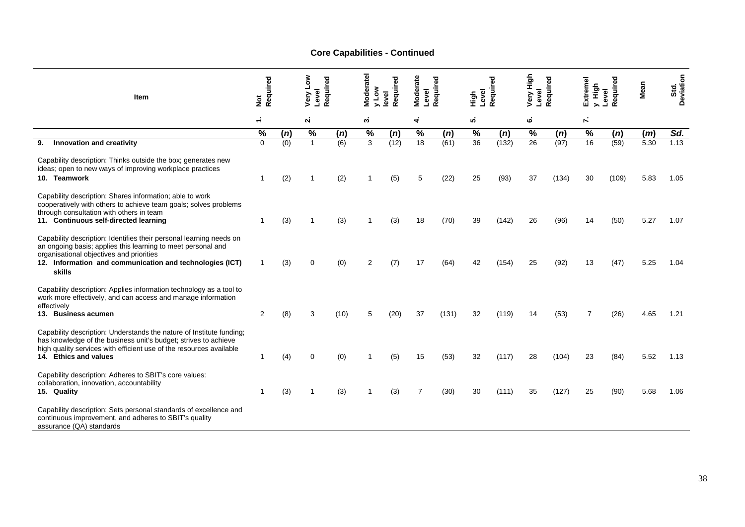## **Core Capabilities - Continued**

| <b>Item</b>                                                                                                                                                                                                                                           | Required<br>$\frac{5}{2}$ |                  | Very Low<br>Level | Required | Moderatel<br>γον | Required<br>evel | Moderate<br>Level | Require | Level<br>들    | g<br>Require | Very High<br>Level | Required | Extremel<br>High | Required<br>Level | Mean | Std.<br>Deviation |
|-------------------------------------------------------------------------------------------------------------------------------------------------------------------------------------------------------------------------------------------------------|---------------------------|------------------|-------------------|----------|------------------|------------------|-------------------|---------|---------------|--------------|--------------------|----------|------------------|-------------------|------|-------------------|
|                                                                                                                                                                                                                                                       | $\div$                    |                  | $\mathbf{a}$      |          | ∾.               |                  | 4                 |         | ທ່            |              | نه                 |          | $\mathbf{r}$     |                   |      |                   |
|                                                                                                                                                                                                                                                       | $\%$                      | (n)              | $\%$              | (n)      | $\%$             | (n)              | $\%$              | (n)     | $\frac{0}{0}$ | (n)          | $\%$               | (n)      | $\%$             | (n)               | (m)  | Sd.               |
| Innovation and creativity<br>9.                                                                                                                                                                                                                       | $\Omega$                  | $\overline{(0)}$ | $\overline{1}$    | (6)      | 3                | (12)             | 18                | (61)    | 36            | (132)        | $\overline{26}$    | (97)     | 16               | (59)              | 5.30 | 1.13              |
| Capability description: Thinks outside the box; generates new<br>ideas; open to new ways of improving workplace practices<br>10. Teamwork                                                                                                             | -1                        | (2)              |                   | (2)      |                  | (5)              | 5                 | (22)    | 25            | (93)         | 37                 | (134)    | 30               | (109)             | 5.83 | 1.05              |
| Capability description: Shares information; able to work<br>cooperatively with others to achieve team goals; solves problems<br>through consultation with others in team<br>11. Continuous self-directed learning                                     | -1                        | (3)              |                   | (3)      |                  | (3)              | 18                | (70)    | 39            | (142)        | 26                 | (96)     | 14               | (50)              | 5.27 | 1.07              |
| Capability description: Identifies their personal learning needs on<br>an ongoing basis; applies this learning to meet personal and<br>organisational objectives and priorities<br>12. Information and communication and technologies (ICT)<br>skills |                           | (3)              | $\mathbf 0$       | (0)      | 2                | (7)              | 17                | (64)    | 42            | (154)        | 25                 | (92)     | 13               | (47)              | 5.25 | 1.04              |
| Capability description: Applies information technology as a tool to<br>work more effectively, and can access and manage information<br>effectively<br>13. Business acumen                                                                             | $\overline{2}$            | (8)              | 3                 | (10)     | 5                | (20)             | 37                | (131)   | 32            | (119)        | 14                 | (53)     | 7                | (26)              | 4.65 | 1.21              |
| Capability description: Understands the nature of Institute funding;<br>has knowledge of the business unit's budget; strives to achieve<br>high quality services with efficient use of the resources available<br>14. Ethics and values               | 1                         | (4)              | $\Omega$          | (0)      |                  | (5)              | 15                | (53)    | 32            | (117)        | 28                 | (104)    | 23               | (84)              | 5.52 | 1.13              |
| Capability description: Adheres to SBIT's core values:<br>collaboration, innovation, accountability<br>15. Quality                                                                                                                                    | 1                         | (3)              |                   | (3)      |                  | (3)              |                   | (30)    | 30            | (111)        | 35                 | (127)    | 25               | (90)              | 5.68 | 1.06              |
| Capability description: Sets personal standards of excellence and<br>continuous improvement, and adheres to SBIT's quality<br>assurance (QA) standards                                                                                                |                           |                  |                   |          |                  |                  |                   |         |               |              |                    |          |                  |                   |      |                   |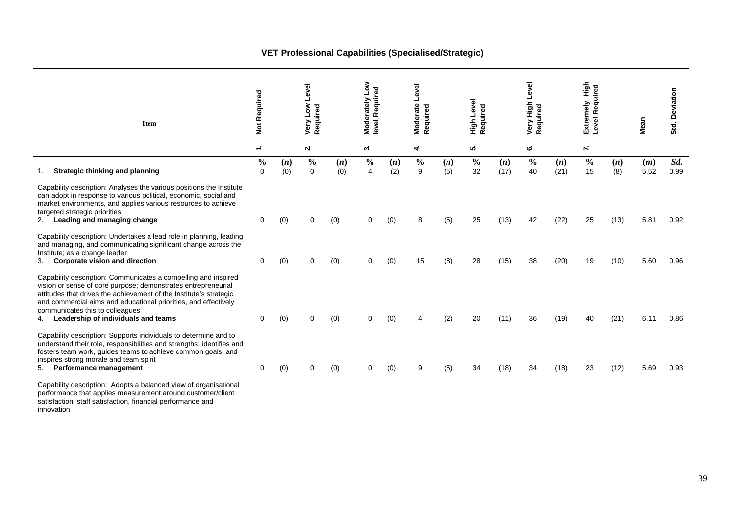## **VET Professional Capabilities (Specialised/Strategic)**

| Item                                                                                                                                                                                                                                                                                                                                                     | Not Required  |     | Level<br>Very Low<br>Required |     | Moderately Low<br>level Required |     | Level<br>Moderate<br>Required |     | High Level<br>Required |      | Very High Level<br>Required |      | High<br>Level Required<br>Extremely |      | Mean | Std. Deviation |
|----------------------------------------------------------------------------------------------------------------------------------------------------------------------------------------------------------------------------------------------------------------------------------------------------------------------------------------------------------|---------------|-----|-------------------------------|-----|----------------------------------|-----|-------------------------------|-----|------------------------|------|-----------------------------|------|-------------------------------------|------|------|----------------|
|                                                                                                                                                                                                                                                                                                                                                          | $\div$        |     | <b>N</b>                      |     | ω.                               |     | 4                             |     | ທ່                     |      | ٺ                           |      | Υ,                                  |      |      |                |
|                                                                                                                                                                                                                                                                                                                                                          | $\frac{0}{0}$ | (n) | $\frac{0}{0}$                 | (n) | $\frac{0}{0}$                    | (n) | $\frac{0}{0}$                 | (n) | $\frac{0}{0}$          | (n)  | $\frac{0}{0}$               | (n)  | $\frac{0}{0}$                       | (n)  | (m)  | Sd.            |
| Strategic thinking and planning                                                                                                                                                                                                                                                                                                                          | $\mathbf 0$   | (0) | $\mathbf 0$                   | (0) | $\overline{4}$                   | (2) | $\overline{9}$                | (5) | 32                     | (17) | 40                          | (21) | $\overline{15}$                     | (8)  | 5.52 | 0.99           |
| Capability description: Analyses the various positions the Institute<br>can adopt in response to various political, economic, social and<br>market environments, and applies various resources to achieve<br>targeted strategic priorities<br>Leading and managing change                                                                                | $\Omega$      | (0) | 0                             | (0) | 0                                | (0) | 8                             | (5) | 25                     | (13) | 42                          | (22) | 25                                  | (13) | 5.81 | 0.92           |
| Capability description: Undertakes a lead role in planning, leading<br>and managing, and communicating significant change across the<br>Institute; as a change leader<br>Corporate vision and direction<br>3.                                                                                                                                            | 0             | (0) | U                             | (0) | $\Omega$                         | (0) | 15                            | (8) | 28                     | (15) | 38                          | (20) | 19                                  | (10) | 5.60 | 0.96           |
| Capability description: Communicates a compelling and inspired<br>vision or sense of core purpose; demonstrates entrepreneurial<br>attitudes that drives the achievement of the Institute's strategic<br>and commercial aims and educational priorities, and effectively<br>communicates this to colleagues<br>Leadership of individuals and teams<br>4. | 0             | (0) | 0                             | (0) | 0                                | (0) |                               | (2) | 20                     | (11) | 36                          | (19) | 40                                  | (21) | 6.11 | 0.86           |
| Capability description: Supports individuals to determine and to<br>understand their role, responsibilities and strengths; identifies and<br>fosters team work, guides teams to achieve common goals, and<br>inspires strong morale and team spirit<br>Performance management<br>5.                                                                      | $\Omega$      | (0) | 0                             | (0) | $\Omega$                         | (0) | 9                             | (5) | 34                     | (18) | 34                          | (18) | 23                                  | (12) | 5.69 | 0.93           |
| Capability description: Adopts a balanced view of organisational<br>performance that applies measurement around customer/client<br>satisfaction, staff satisfaction, financial performance and<br>innovation                                                                                                                                             |               |     |                               |     |                                  |     |                               |     |                        |      |                             |      |                                     |      |      |                |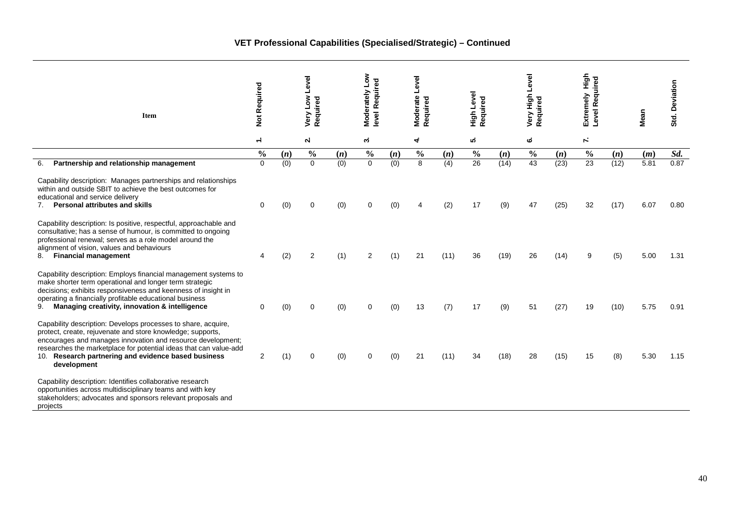| <b>Item</b>                                                                                                                                                                                                                                                                                                                                                                                                                                                                                      | Not Required  |            | Level<br><b>Non</b><br>Required<br>Very |            | <b>No7</b><br>level Required<br>Moderately |            | Moderate Level<br>Required |             | High Level<br>Required |             | Level<br>Very High<br>Required |              | Extremely High<br>Required<br>Level |             | Mean         | Std. Deviation |
|--------------------------------------------------------------------------------------------------------------------------------------------------------------------------------------------------------------------------------------------------------------------------------------------------------------------------------------------------------------------------------------------------------------------------------------------------------------------------------------------------|---------------|------------|-----------------------------------------|------------|--------------------------------------------|------------|----------------------------|-------------|------------------------|-------------|--------------------------------|--------------|-------------------------------------|-------------|--------------|----------------|
|                                                                                                                                                                                                                                                                                                                                                                                                                                                                                                  | $\div$        |            | $\mathbf{a}$                            |            | ຕ່                                         |            | 4                          |             | ιó.                    |             | ٺ                              |              | Υ,                                  |             |              |                |
|                                                                                                                                                                                                                                                                                                                                                                                                                                                                                                  | $\frac{0}{0}$ | (n)        | $\frac{0}{0}$                           | (n)        | $\frac{0}{0}$                              | (n)        | $\frac{0}{0}$              | (n)         | $\frac{0}{0}$          | (n)         | $\frac{0}{0}$                  | (n)          | $\frac{0}{0}$                       | (n)         | (m)          | Sd.            |
| Partnership and relationship management<br>6.                                                                                                                                                                                                                                                                                                                                                                                                                                                    | $\Omega$      | (0)        | $\Omega$                                | (0)        | $\Omega$                                   | (0)        | 8                          | (4)         | 26                     | (14)        | 43                             | (23)         | 23                                  | (12)        | 5.81         | 0.87           |
| Capability description: Manages partnerships and relationships<br>within and outside SBIT to achieve the best outcomes for<br>educational and service delivery<br><b>Personal attributes and skills</b><br>7.<br>Capability description: Is positive, respectful, approachable and<br>consultative; has a sense of humour, is committed to ongoing<br>professional renewal; serves as a role model around the<br>alignment of vision, values and behaviours<br>8.<br><b>Financial management</b> | $\mathbf 0$   | (0)<br>(2) | $\Omega$<br>$\overline{2}$              | (0)<br>(1) | $\Omega$<br>2                              | (0)<br>(1) | 21                         | (2)<br>(11) | 17<br>36               | (9)<br>(19) | 47<br>26                       | (25)<br>(14) | 32<br>9                             | (17)<br>(5) | 6.07<br>5.00 | 0.80<br>1.31   |
| Capability description: Employs financial management systems to<br>make shorter term operational and longer term strategic<br>decisions; exhibits responsiveness and keenness of insight in<br>operating a financially profitable educational business<br>9.<br>Managing creativity, innovation & intelligence                                                                                                                                                                                   | $\mathbf 0$   | (0)        | $\Omega$                                | (0)        | $\Omega$                                   | (0)        | 13                         | (7)         | 17                     | (9)         | 51                             | (27)         | 19                                  | (10)        | 5.75         | 0.91           |
| Capability description: Develops processes to share, acquire,<br>protect, create, rejuvenate and store knowledge; supports,<br>encourages and manages innovation and resource development;<br>researches the marketplace for potential ideas that can value-add<br>10. Research partnering and evidence based business<br>development                                                                                                                                                            | 2             | (1)        | $\Omega$                                | (0)        | $\Omega$                                   | (0)        | 21                         | (11)        | 34                     | (18)        | 28                             | (15)         | 15                                  | (8)         | 5.30         | 1.15           |
| Capability description: Identifies collaborative research<br>opportunities across multidisciplinary teams and with key<br>stakeholders; advocates and sponsors relevant proposals and<br>projects                                                                                                                                                                                                                                                                                                |               |            |                                         |            |                                            |            |                            |             |                        |             |                                |              |                                     |             |              |                |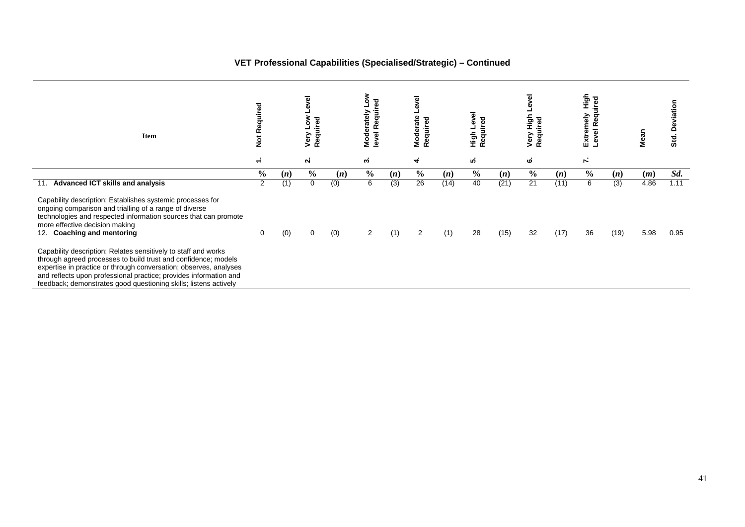### **VET Professional Capabilities (Specialised/Strategic) – Continued**

| Item                                                                                                                                                                                                                                                                                                                                           | red<br>Rē<br>$\frac{5}{2}$ |     | Required<br>ō<br>Very |     | š<br>level Required<br>Moderately L |     | Level<br>Moderate<br>್ಠಾ<br>quire<br>Φ<br>œ |      | High Level<br>Required |      | evel<br>들<br>ъ<br>uire<br>Very<br>ਠ<br>Φ<br>$\propto$ |      | 동<br>도<br>uired<br>Extremely<br>g<br>evel R<br>┙ |                 |      | Deviation<br>Std. |
|------------------------------------------------------------------------------------------------------------------------------------------------------------------------------------------------------------------------------------------------------------------------------------------------------------------------------------------------|----------------------------|-----|-----------------------|-----|-------------------------------------|-----|---------------------------------------------|------|------------------------|------|-------------------------------------------------------|------|--------------------------------------------------|-----------------|------|-------------------|
|                                                                                                                                                                                                                                                                                                                                                | $\div$                     |     | $\mathbf{a}$          |     | ω.                                  |     | $\vec{r}$                                   |      | ທ່                     |      | نه                                                    |      | K.                                               |                 |      |                   |
|                                                                                                                                                                                                                                                                                                                                                | $\frac{0}{0}$              | (n) | $\frac{6}{6}$         | (n) | $\frac{0}{0}$                       | (n) | $\frac{0}{0}$                               | (n)  | $\frac{0}{0}$          | (n)  | $\frac{6}{6}$                                         | (n)  | $\frac{6}{6}$                                    | (n)             | (m)  | Sd.               |
| 11. Advanced ICT skills and analysis                                                                                                                                                                                                                                                                                                           | 2                          | (1) | 0                     | (0) | 6                                   | (3) | 26                                          | (14) | 40                     | (21) | 21                                                    | (11) | 6                                                | $\overline{3)}$ | 4.86 | 1.11              |
| Capability description: Establishes systemic processes for<br>ongoing comparison and trialling of a range of diverse<br>technologies and respected information sources that can promote<br>more effective decision making<br><b>Coaching and mentoring</b><br>12.                                                                              | 0                          | (0) | $\mathbf 0$           | (0) | $\overline{2}$                      | (1) | 2                                           | (1)  | 28                     | (15) | 32                                                    | (17) | 36                                               | (19)            | 5.98 | 0.95              |
| Capability description: Relates sensitively to staff and works<br>through agreed processes to build trust and confidence; models<br>expertise in practice or through conversation; observes, analyses<br>and reflects upon professional practice; provides information and<br>feedback; demonstrates good questioning skills; listens actively |                            |     |                       |     |                                     |     |                                             |      |                        |      |                                                       |      |                                                  |                 |      |                   |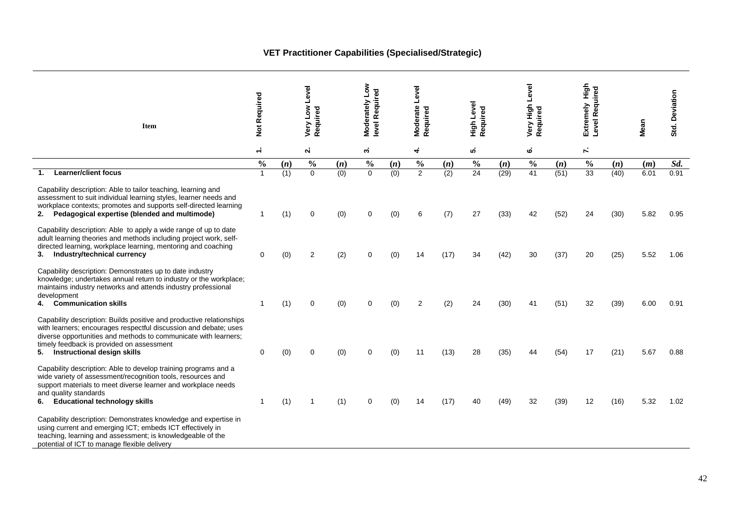## **VET Practitioner Capabilities (Specialised/Strategic)**

| <b>Item</b>                                                                                                                                                                                                                                                                                | Not Required  |     | Level<br>Very Low<br>Required |     | Moderately Low<br>level Required |     | Moderate Level<br>Required |      | High Level<br>Required |      | Level<br>Very High<br>Required |      | 들<br>Required<br>Extremely<br>Level |      | Mean | Std. Deviation |
|--------------------------------------------------------------------------------------------------------------------------------------------------------------------------------------------------------------------------------------------------------------------------------------------|---------------|-----|-------------------------------|-----|----------------------------------|-----|----------------------------|------|------------------------|------|--------------------------------|------|-------------------------------------|------|------|----------------|
|                                                                                                                                                                                                                                                                                            | $\div$        |     | $\mathbf{a}$                  |     | ω.                               |     | 4                          |      | ທ່                     |      | ق                              |      | r.                                  |      |      |                |
|                                                                                                                                                                                                                                                                                            | $\frac{0}{0}$ | (n) | $\frac{0}{0}$                 | (n) | $\frac{0}{0}$                    | (n) | $\frac{0}{0}$              | (n)  | $\frac{0}{0}$          | (n)  | $\frac{0}{0}$                  | (n)  | $\frac{0}{0}$                       | (n)  | (m)  | Sd.            |
| <b>Learner/client focus</b><br>1.                                                                                                                                                                                                                                                          |               | (1) | $\mathbf 0$                   | (0) | $\overline{0}$                   | (0) | $\overline{2}$             | (2)  | $\overline{24}$        | (29) | 41                             | (51) | 33                                  | (40) | 6.01 | 0.91           |
| Capability description: Able to tailor teaching, learning and<br>assessment to suit individual learning styles, learner needs and<br>workplace contexts; promotes and supports self-directed learning<br>Pedagogical expertise (blended and multimode)<br>2.                               | -1            | (1) | 0                             | (0) | 0                                | (0) | 6                          | (7)  | 27                     | (33) | 42                             | (52) | 24                                  | (30) | 5.82 | 0.95           |
| Capability description: Able to apply a wide range of up to date<br>adult learning theories and methods including project work, self-<br>directed learning, workplace learning, mentoring and coaching<br>3. Industry/technical currency                                                   | 0             | (0) | $\overline{2}$                | (2) | $\Omega$                         | (0) | 14                         | (17) | 34                     | (42) | 30                             | (37) | 20                                  | (25) | 5.52 | 1.06           |
| Capability description: Demonstrates up to date industry<br>knowledge; undertakes annual return to industry or the workplace;<br>maintains industry networks and attends industry professional<br>development<br><b>Communication skills</b><br>4.                                         | 1             | (1) | 0                             | (0) | 0                                | (0) | 2                          | (2)  | 24                     | (30) | 41                             | (51) | 32                                  | (39) | 6.00 | 0.91           |
| Capability description: Builds positive and productive relationships<br>with learners; encourages respectful discussion and debate; uses<br>diverse opportunities and methods to communicate with learners;<br>timely feedback is provided on assessment<br>5. Instructional design skills | 0             | (0) | $\Omega$                      | (0) | $\Omega$                         | (0) | 11                         | (13) | 28                     | (35) | 44                             | (54) | 17                                  | (21) | 5.67 | 0.88           |
| Capability description: Able to develop training programs and a<br>wide variety of assessment/recognition tools, resources and<br>support materials to meet diverse learner and workplace needs<br>and quality standards<br>6. Educational technology skills                               | -1            | (1) | -1                            | (1) | 0                                | (0) | 14                         | (17) | 40                     | (49) | 32                             | (39) | 12                                  | (16) | 5.32 | 1.02           |
| Capability description: Demonstrates knowledge and expertise in<br>using current and emerging ICT; embeds ICT effectively in<br>teaching, learning and assessment; is knowledgeable of the<br>potential of ICT to manage flexible delivery                                                 |               |     |                               |     |                                  |     |                            |      |                        |      |                                |      |                                     |      |      |                |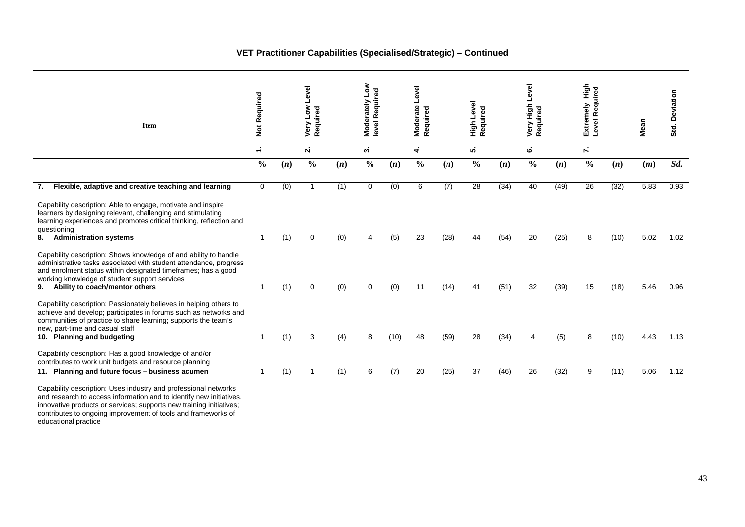## **VET Practitioner Capabilities (Specialised/Strategic) – Continued**

| <b>Item</b>                                                                                                                                                                                                                                                                                                                                                                                                                                                                                               | Not Required  |     | Level<br><b>No7</b><br>Required<br>Very |     | Moderately Low<br>level Required |      | Moderate Level<br>Required |      | High Level<br>Required |      | Very High Level<br>Required |      | tigh<br>Level Required<br>Extremely |      | Mean | Std. Deviation |
|-----------------------------------------------------------------------------------------------------------------------------------------------------------------------------------------------------------------------------------------------------------------------------------------------------------------------------------------------------------------------------------------------------------------------------------------------------------------------------------------------------------|---------------|-----|-----------------------------------------|-----|----------------------------------|------|----------------------------|------|------------------------|------|-----------------------------|------|-------------------------------------|------|------|----------------|
|                                                                                                                                                                                                                                                                                                                                                                                                                                                                                                           | $\div$        |     | $\mathbf{a}$                            |     | ω.                               |      | 4                          |      | ທ່                     |      | نه                          |      | Υ,                                  |      |      |                |
|                                                                                                                                                                                                                                                                                                                                                                                                                                                                                                           | $\frac{0}{0}$ | (n) | $\frac{0}{0}$                           | (n) | $\frac{0}{0}$                    | (n)  | $\frac{0}{0}$              | (n)  | $\frac{0}{0}$          | (n)  | $\frac{0}{0}$               | (n)  | $\frac{0}{0}$                       | (n)  | (m)  | Sd.            |
| Flexible, adaptive and creative teaching and learning<br>7.                                                                                                                                                                                                                                                                                                                                                                                                                                               | 0             | (0) | 1                                       | (1) | 0                                | (0)  | 6                          | (7)  | 28                     | (34) | 40                          | (49) | 26                                  | (32) | 5.83 | 0.93           |
| Capability description: Able to engage, motivate and inspire<br>learners by designing relevant, challenging and stimulating<br>learning experiences and promotes critical thinking, reflection and<br>questioning<br>8. Administration systems<br>Capability description: Shows knowledge of and ability to handle<br>administrative tasks associated with student attendance, progress<br>and enrolment status within designated timeframes; has a good<br>working knowledge of student support services |               | (1) | 0                                       | (0) |                                  | (5)  | 23                         | (28) | 44                     | (54) | 20                          | (25) | 8                                   | (10) | 5.02 | 1.02           |
| Ability to coach/mentor others<br>9.                                                                                                                                                                                                                                                                                                                                                                                                                                                                      |               | (1) | $\Omega$                                | (0) |                                  | (0)  | 11                         | (14) | 41                     | (51) | 32                          | (39) | 15                                  | (18) | 5.46 | 0.96           |
| Capability description: Passionately believes in helping others to<br>achieve and develop; participates in forums such as networks and<br>communities of practice to share learning; supports the team's<br>new, part-time and casual staff<br>10. Planning and budgeting                                                                                                                                                                                                                                 |               | (1) | 3                                       | (4) | 8                                | (10) | 48                         | (59) | 28                     | (34) | 4                           | (5)  | 8                                   | (10) | 4.43 | 1.13           |
| Capability description: Has a good knowledge of and/or<br>contributes to work unit budgets and resource planning<br>11. Planning and future focus - business acumen                                                                                                                                                                                                                                                                                                                                       |               | (1) |                                         | (1) | 6                                | (7)  | 20                         | (25) | 37                     | (46) | 26                          | (32) | 9                                   | (11) | 5.06 | 1.12           |
| Capability description: Uses industry and professional networks<br>and research to access information and to identify new initiatives,<br>innovative products or services; supports new training initiatives;<br>contributes to ongoing improvement of tools and frameworks of<br>educational practice                                                                                                                                                                                                    |               |     |                                         |     |                                  |      |                            |      |                        |      |                             |      |                                     |      |      |                |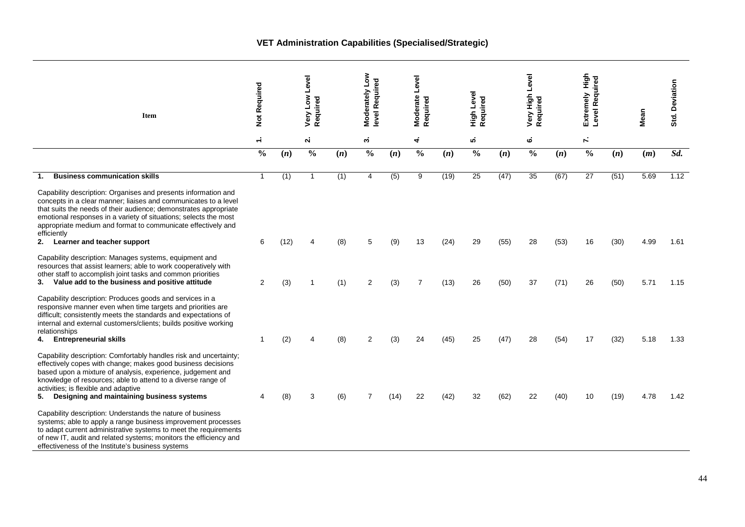### **VET Administration Capabilities (Specialised/Strategic)**

| Item                                                                                                                                                                                                                                                                                                                                                         | Not Required   |      | Level<br>Low<br>Required<br>Very |     | §∠<br>level Required<br>Moderately |      | Moderate Level<br>Required |      | High Level<br>Required |      | Level<br>Very High<br>Required |      | tigh<br>Level Required<br>Extremely |      | Mean | Std. Deviation |
|--------------------------------------------------------------------------------------------------------------------------------------------------------------------------------------------------------------------------------------------------------------------------------------------------------------------------------------------------------------|----------------|------|----------------------------------|-----|------------------------------------|------|----------------------------|------|------------------------|------|--------------------------------|------|-------------------------------------|------|------|----------------|
|                                                                                                                                                                                                                                                                                                                                                              | $\div$         |      | <b>N</b>                         |     | ω.                                 |      | 4                          |      | ທ່                     |      | ه                              |      | Υ,                                  |      |      |                |
|                                                                                                                                                                                                                                                                                                                                                              | $\frac{0}{0}$  | (n)  | $\frac{0}{0}$                    | (n) | $\frac{0}{0}$                      | (n)  | $\frac{0}{0}$              | (n)  | $\frac{0}{0}$          | (n)  | $\frac{0}{0}$                  | (n)  | $\frac{0}{0}$                       | (n)  | (m)  | Sd.            |
| <b>Business communication skills</b><br>1.                                                                                                                                                                                                                                                                                                                   | $\mathbf{1}$   | (1)  | -1                               | (1) | 4                                  | (5)  | 9                          | (19) | 25                     | (47) | 35                             | (67) | 27                                  | (51) | 5.69 | 1.12           |
| Capability description: Organises and presents information and<br>concepts in a clear manner; liaises and communicates to a level<br>that suits the needs of their audience; demonstrates appropriate<br>emotional responses in a variety of situations; selects the most<br>appropriate medium and format to communicate effectively and<br>efficiently     |                |      |                                  |     |                                    |      |                            |      |                        |      |                                |      |                                     |      |      |                |
| 2.<br>Learner and teacher support                                                                                                                                                                                                                                                                                                                            | 6              | (12) | 4                                | (8) | 5                                  | (9)  | 13                         | (24) | 29                     | (55) | 28                             | (53) | 16                                  | (30) | 4.99 | 1.61           |
| Capability description: Manages systems, equipment and<br>resources that assist learners; able to work cooperatively with<br>other staff to accomplish joint tasks and common priorities<br>Value add to the business and positive attitude<br>3.                                                                                                            | $\overline{2}$ | (3)  | -1                               | (1) | 2                                  | (3)  | 7                          | (13) | 26                     | (50) | 37                             | (71) | 26                                  | (50) | 5.71 | 1.15           |
| Capability description: Produces goods and services in a<br>responsive manner even when time targets and priorities are<br>difficult; consistently meets the standards and expectations of<br>internal and external customers/clients; builds positive working<br>relationships                                                                              |                |      |                                  |     |                                    |      |                            |      |                        |      |                                |      |                                     |      |      |                |
| 4. Entrepreneurial skills                                                                                                                                                                                                                                                                                                                                    | 1              | (2)  | $\boldsymbol{\Delta}$            | (8) | 2                                  | (3)  | 24                         | (45) | 25                     | (47) | 28                             | (54) | 17                                  | (32) | 5.18 | 1.33           |
| Capability description: Comfortably handles risk and uncertainty;<br>effectively copes with change; makes good business decisions<br>based upon a mixture of analysis, experience, judgement and<br>knowledge of resources; able to attend to a diverse range of<br>activities; is flexible and adaptive<br>Designing and maintaining business systems<br>5. | 4              | (8)  | 3                                | (6) | $\overline{7}$                     | (14) | 22                         | (42) | 32                     | (62) | 22                             | (40) | 10                                  | (19) | 4.78 | 1.42           |
| Capability description: Understands the nature of business<br>systems; able to apply a range business improvement processes<br>to adapt current administrative systems to meet the requirements<br>of new IT, audit and related systems; monitors the efficiency and<br>effectiveness of the Institute's business systems                                    |                |      |                                  |     |                                    |      |                            |      |                        |      |                                |      |                                     |      |      |                |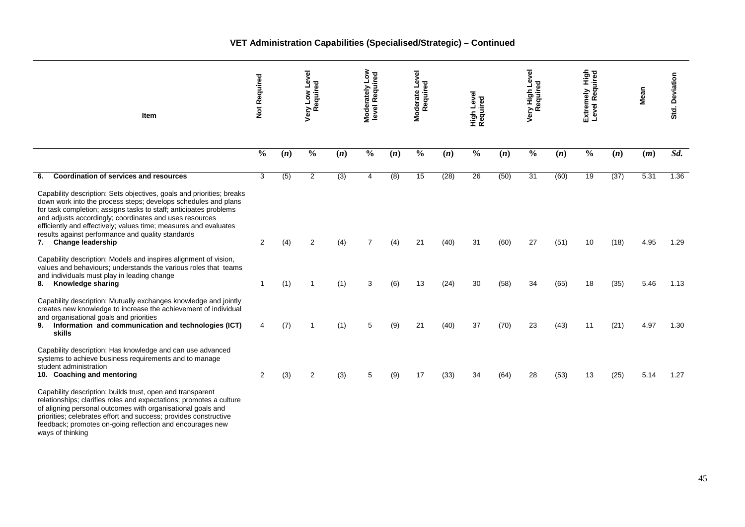### **VET Administration Capabilities (Specialised/Strategic) – Continued**

| Item                                                                                                                                                                                                                                                                                                                                                                                                                               | Not Required   |                  | Low Level<br>Very Low Lev<br>Required |     | <b>Moderately Low</b><br>level Required |     | Moderate Level<br>Required |      | Level<br>High Leve<br>Required |      | r High Level<br>Required<br>Very<br>R |      | Extremely High<br>Level Required |      | Mean | Std. Deviation |
|------------------------------------------------------------------------------------------------------------------------------------------------------------------------------------------------------------------------------------------------------------------------------------------------------------------------------------------------------------------------------------------------------------------------------------|----------------|------------------|---------------------------------------|-----|-----------------------------------------|-----|----------------------------|------|--------------------------------|------|---------------------------------------|------|----------------------------------|------|------|----------------|
|                                                                                                                                                                                                                                                                                                                                                                                                                                    | $\frac{0}{0}$  | (n)              | $\frac{0}{0}$                         | (n) | $\frac{0}{0}$                           | (n) | $\frac{0}{0}$              | (n)  | $\frac{0}{0}$                  | (n)  | $\frac{0}{0}$                         | (n)  | $\frac{0}{0}$                    | (n)  | (m)  | Sd.            |
| <b>Coordination of services and resources</b><br>6.                                                                                                                                                                                                                                                                                                                                                                                | 3              | $\overline{(5)}$ | $\overline{2}$                        | (3) | $\overline{4}$                          | (8) | 15                         | (28) | 26                             | (50) | 31                                    | (60) | 19                               | (37) | 5.31 | 1.36           |
| Capability description: Sets objectives, goals and priorities; breaks<br>down work into the process steps; develops schedules and plans<br>for task completion, assigns tasks to staff, anticipates problems<br>and adjusts accordingly; coordinates and uses resources<br>efficiently and effectively; values time; measures and evaluates<br>results against performance and quality standards<br><b>Change leadership</b><br>7. | 2              | (4)              | $\overline{2}$                        | (4) | $\overline{7}$                          | (4) | 21                         | (40) | 31                             | (60) | 27                                    | (51) | 10                               | (18) | 4.95 | 1.29           |
| Capability description: Models and inspires alignment of vision,<br>values and behaviours; understands the various roles that teams<br>and individuals must play in leading change<br>Knowledge sharing<br>8.                                                                                                                                                                                                                      | $\mathbf{1}$   | (1)              | $\overline{1}$                        | (1) | 3                                       | (6) | 13                         | (24) | 30                             | (58) | 34                                    | (65) | 18                               | (35) | 5.46 | 1.13           |
| Capability description: Mutually exchanges knowledge and jointly<br>creates new knowledge to increase the achievement of individual<br>and organisational goals and priorities<br>9.<br>Information and communication and technologies (ICT)<br>skills                                                                                                                                                                             | 4              | (7)              | -1                                    | (1) | 5                                       | (9) | 21                         | (40) | 37                             | (70) | 23                                    | (43) | 11                               | (21) | 4.97 | 1.30           |
| Capability description: Has knowledge and can use advanced<br>systems to achieve business requirements and to manage<br>student administration<br>10. Coaching and mentoring                                                                                                                                                                                                                                                       | $\overline{2}$ | (3)              | $\overline{2}$                        | (3) | 5                                       | (9) | 17                         | (33) | 34                             | (64) | 28                                    | (53) | 13                               | (25) | 5.14 | 1.27           |
| Capability description: builds trust, open and transparent<br>relationships; clarifies roles and expectations; promotes a culture<br>of aligning personal outcomes with organisational goals and<br>priorities; celebrates effort and success; provides constructive<br>feedback; promotes on-going reflection and encourages new<br>ways of thinking                                                                              |                |                  |                                       |     |                                         |     |                            |      |                                |      |                                       |      |                                  |      |      |                |